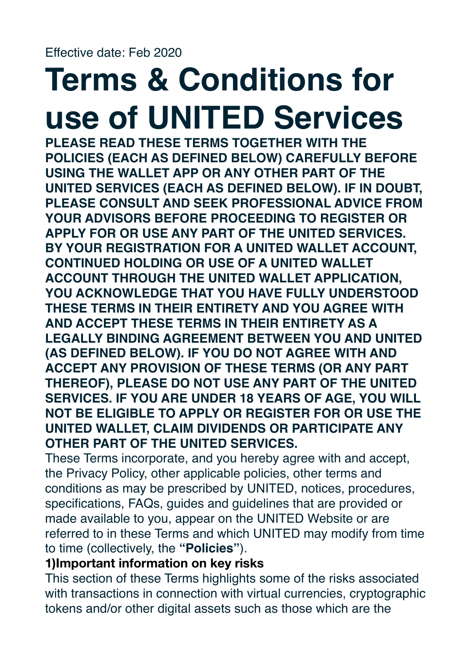Effective date: Feb 2020

# **Terms & Conditions for use of UNITED Services**

**PLEASE READ THESE TERMS TOGETHER WITH THE POLICIES (EACH AS DEFINED BELOW) CAREFULLY BEFORE USING THE WALLET APP OR ANY OTHER PART OF THE UNITED SERVICES (EACH AS DEFINED BELOW). IF IN DOUBT, PLEASE CONSULT AND SEEK PROFESSIONAL ADVICE FROM YOUR ADVISORS BEFORE PROCEEDING TO REGISTER OR APPLY FOR OR USE ANY PART OF THE UNITED SERVICES. BY YOUR REGISTRATION FOR A UNITED WALLET ACCOUNT, CONTINUED HOLDING OR USE OF A UNITED WALLET ACCOUNT THROUGH THE UNITED WALLET APPLICATION, YOU ACKNOWLEDGE THAT YOU HAVE FULLY UNDERSTOOD THESE TERMS IN THEIR ENTIRETY AND YOU AGREE WITH AND ACCEPT THESE TERMS IN THEIR ENTIRETY AS A LEGALLY BINDING AGREEMENT BETWEEN YOU AND UNITED (AS DEFINED BELOW). IF YOU DO NOT AGREE WITH AND ACCEPT ANY PROVISION OF THESE TERMS (OR ANY PART THEREOF), PLEASE DO NOT USE ANY PART OF THE UNITED SERVICES. IF YOU ARE UNDER 18 YEARS OF AGE, YOU WILL NOT BE ELIGIBLE TO APPLY OR REGISTER FOR OR USE THE UNITED WALLET, CLAIM DIVIDENDS OR PARTICIPATE ANY OTHER PART OF THE UNITED SERVICES.**

These Terms incorporate, and you hereby agree with and accept, the Privacy Policy, other applicable policies, other terms and conditions as may be prescribed by UNITED, notices, procedures, specifications, FAQs, guides and guidelines that are provided or made available to you, appear on the UNITED Website or are referred to in these Terms and which UNITED may modify from time to time (collectively, the **"Policies"**).

#### **1)Important information on key risks**

This section of these Terms highlights some of the risks associated with transactions in connection with virtual currencies, cryptographic tokens and/or other digital assets such as those which are the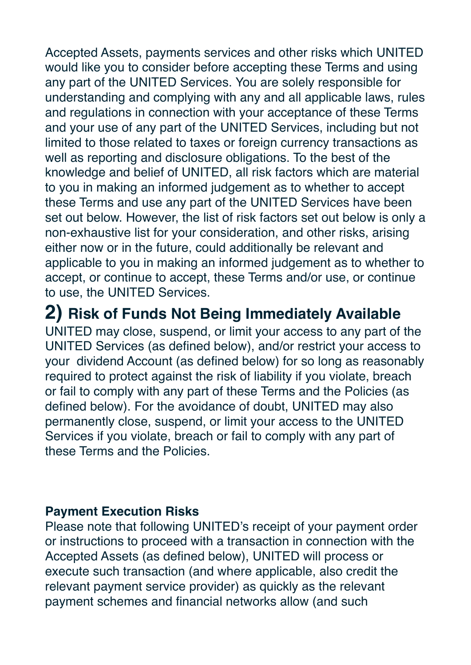Accepted Assets, payments services and other risks which UNITED would like you to consider before accepting these Terms and using any part of the UNITED Services. You are solely responsible for understanding and complying with any and all applicable laws, rules and regulations in connection with your acceptance of these Terms and your use of any part of the UNITED Services, including but not limited to those related to taxes or foreign currency transactions as well as reporting and disclosure obligations. To the best of the knowledge and belief of UNITED, all risk factors which are material to you in making an informed judgement as to whether to accept these Terms and use any part of the UNITED Services have been set out below. However, the list of risk factors set out below is only a non-exhaustive list for your consideration, and other risks, arising either now or in the future, could additionally be relevant and applicable to you in making an informed judgement as to whether to accept, or continue to accept, these Terms and/or use, or continue to use, the UNITED Services.

**2) Risk of Funds Not Being Immediately Available** UNITED may close, suspend, or limit your access to any part of the UNITED Services (as defined below), and/or restrict your access to your dividend Account (as defined below) for so long as reasonably required to protect against the risk of liability if you violate, breach or fail to comply with any part of these Terms and the Policies (as defined below). For the avoidance of doubt, UNITED may also permanently close, suspend, or limit your access to the UNITED Services if you violate, breach or fail to comply with any part of these Terms and the Policies.

#### **Payment Execution Risks**

Please note that following UNITED's receipt of your payment order or instructions to proceed with a transaction in connection with the Accepted Assets (as defined below), UNITED will process or execute such transaction (and where applicable, also credit the relevant payment service provider) as quickly as the relevant payment schemes and financial networks allow (and such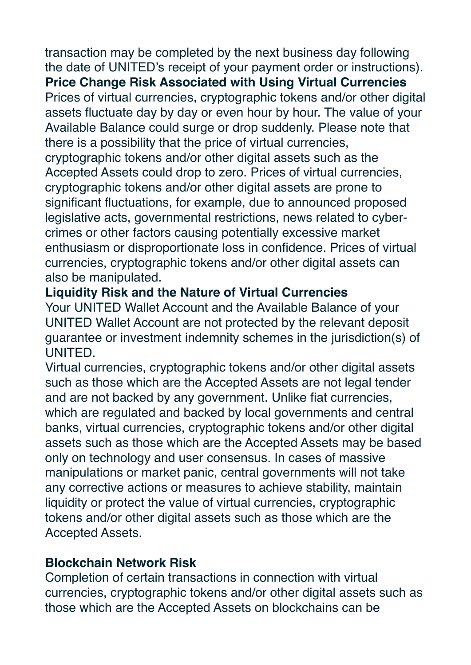transaction may be completed by the next business day following the date of UNITED's receipt of your payment order or instructions). **Price Change Risk Associated with Using Virtual Currencies** Prices of virtual currencies, cryptographic tokens and/or other digital assets fluctuate day by day or even hour by hour. The value of your Available Balance could surge or drop suddenly. Please note that there is a possibility that the price of virtual currencies, cryptographic tokens and/or other digital assets such as the Accepted Assets could drop to zero. Prices of virtual currencies, cryptographic tokens and/or other digital assets are prone to significant fluctuations, for example, due to announced proposed legislative acts, governmental restrictions, news related to cybercrimes or other factors causing potentially excessive market enthusiasm or disproportionate loss in confidence. Prices of virtual currencies, cryptographic tokens and/or other digital assets can also be manipulated.

#### **Liquidity Risk and the Nature of Virtual Currencies**

Your UNITED Wallet Account and the Available Balance of your UNITED Wallet Account are not protected by the relevant deposit guarantee or investment indemnity schemes in the jurisdiction(s) of UNITED.

Virtual currencies, cryptographic tokens and/or other digital assets such as those which are the Accepted Assets are not legal tender and are not backed by any government. Unlike fiat currencies, which are regulated and backed by local governments and central banks, virtual currencies, cryptographic tokens and/or other digital assets such as those which are the Accepted Assets may be based only on technology and user consensus. In cases of massive manipulations or market panic, central governments will not take any corrective actions or measures to achieve stability, maintain liquidity or protect the value of virtual currencies, cryptographic tokens and/or other digital assets such as those which are the Accepted Assets.

#### **Blockchain Network Risk**

Completion of certain transactions in connection with virtual currencies, cryptographic tokens and/or other digital assets such as those which are the Accepted Assets on blockchains can be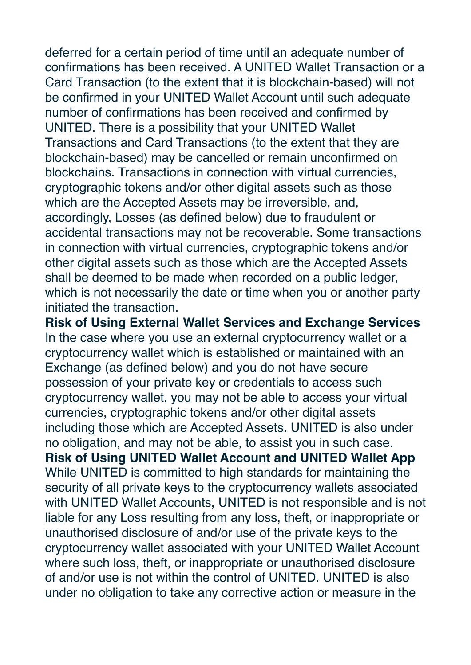deferred for a certain period of time until an adequate number of confirmations has been received. A UNITED Wallet Transaction or a Card Transaction (to the extent that it is blockchain-based) will not be confirmed in your UNITED Wallet Account until such adequate number of confirmations has been received and confirmed by UNITED. There is a possibility that your UNITED Wallet Transactions and Card Transactions (to the extent that they are blockchain-based) may be cancelled or remain unconfirmed on blockchains. Transactions in connection with virtual currencies, cryptographic tokens and/or other digital assets such as those which are the Accepted Assets may be irreversible, and, accordingly, Losses (as defined below) due to fraudulent or accidental transactions may not be recoverable. Some transactions in connection with virtual currencies, cryptographic tokens and/or other digital assets such as those which are the Accepted Assets shall be deemed to be made when recorded on a public ledger, which is not necessarily the date or time when you or another party initiated the transaction.

**Risk of Using External Wallet Services and Exchange Services** In the case where you use an external cryptocurrency wallet or a cryptocurrency wallet which is established or maintained with an Exchange (as defined below) and you do not have secure possession of your private key or credentials to access such cryptocurrency wallet, you may not be able to access your virtual currencies, cryptographic tokens and/or other digital assets including those which are Accepted Assets. UNITED is also under no obligation, and may not be able, to assist you in such case. **Risk of Using UNITED Wallet Account and UNITED Wallet App** While UNITED is committed to high standards for maintaining the security of all private keys to the cryptocurrency wallets associated with UNITED Wallet Accounts, UNITED is not responsible and is not liable for any Loss resulting from any loss, theft, or inappropriate or unauthorised disclosure of and/or use of the private keys to the cryptocurrency wallet associated with your UNITED Wallet Account where such loss, theft, or inappropriate or unauthorised disclosure of and/or use is not within the control of UNITED. UNITED is also under no obligation to take any corrective action or measure in the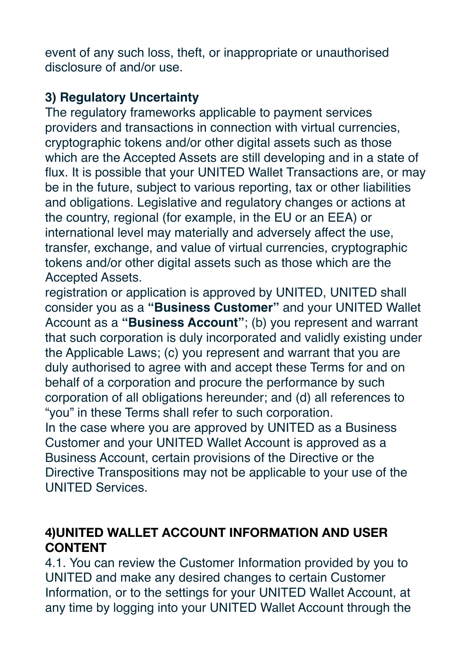event of any such loss, theft, or inappropriate or unauthorised disclosure of and/or use.

#### **3) Regulatory Uncertainty**

The regulatory frameworks applicable to payment services providers and transactions in connection with virtual currencies, cryptographic tokens and/or other digital assets such as those which are the Accepted Assets are still developing and in a state of flux. It is possible that your UNITED Wallet Transactions are, or may be in the future, subject to various reporting, tax or other liabilities and obligations. Legislative and regulatory changes or actions at the country, regional (for example, in the EU or an EEA) or international level may materially and adversely affect the use, transfer, exchange, and value of virtual currencies, cryptographic tokens and/or other digital assets such as those which are the Accepted Assets.

registration or application is approved by UNITED, UNITED shall consider you as a **"Business Customer"** and your UNITED Wallet Account as a **"Business Account"**; (b) you represent and warrant that such corporation is duly incorporated and validly existing under the Applicable Laws; (c) you represent and warrant that you are duly authorised to agree with and accept these Terms for and on behalf of a corporation and procure the performance by such corporation of all obligations hereunder; and (d) all references to "you" in these Terms shall refer to such corporation. In the case where you are approved by UNITED as a Business Customer and your UNITED Wallet Account is approved as a Business Account, certain provisions of the Directive or the Directive Transpositions may not be applicable to your use of the UNITED Services.

#### **4)UNITED WALLET ACCOUNT INFORMATION AND USER CONTENT**

4.1. You can review the Customer Information provided by you to UNITED and make any desired changes to certain Customer Information, or to the settings for your UNITED Wallet Account, at any time by logging into your UNITED Wallet Account through the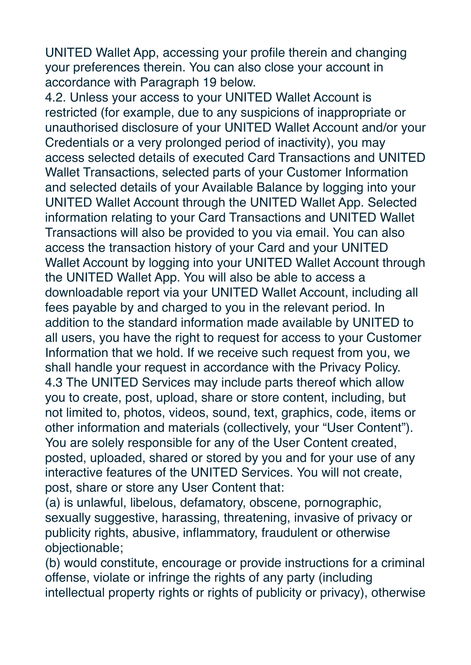UNITED Wallet App, accessing your profile therein and changing your preferences therein. You can also close your account in accordance with Paragraph 19 below.

4.2. Unless your access to your UNITED Wallet Account is restricted (for example, due to any suspicions of inappropriate or unauthorised disclosure of your UNITED Wallet Account and/or your Credentials or a very prolonged period of inactivity), you may access selected details of executed Card Transactions and UNITED Wallet Transactions, selected parts of your Customer Information and selected details of your Available Balance by logging into your UNITED Wallet Account through the UNITED Wallet App. Selected information relating to your Card Transactions and UNITED Wallet Transactions will also be provided to you via email. You can also access the transaction history of your Card and your UNITED Wallet Account by logging into your UNITED Wallet Account through the UNITED Wallet App. You will also be able to access a downloadable report via your UNITED Wallet Account, including all fees payable by and charged to you in the relevant period. In addition to the standard information made available by UNITED to all users, you have the right to request for access to your Customer Information that we hold. If we receive such request from you, we shall handle your request in accordance with the Privacy Policy. 4.3 The UNITED Services may include parts thereof which allow you to create, post, upload, share or store content, including, but not limited to, photos, videos, sound, text, graphics, code, items or other information and materials (collectively, your "User Content"). You are solely responsible for any of the User Content created, posted, uploaded, shared or stored by you and for your use of any interactive features of the UNITED Services. You will not create, post, share or store any User Content that:

(a) is unlawful, libelous, defamatory, obscene, pornographic, sexually suggestive, harassing, threatening, invasive of privacy or publicity rights, abusive, inflammatory, fraudulent or otherwise objectionable;

(b) would constitute, encourage or provide instructions for a criminal offense, violate or infringe the rights of any party (including intellectual property rights or rights of publicity or privacy), otherwise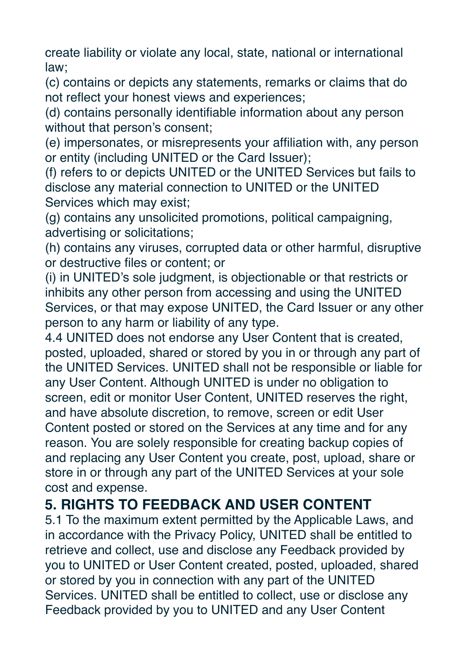create liability or violate any local, state, national or international law;

(c) contains or depicts any statements, remarks or claims that do not reflect your honest views and experiences;

(d) contains personally identifiable information about any person without that person's consent;

(e) impersonates, or misrepresents your affiliation with, any person or entity (including UNITED or the Card Issuer);

(f) refers to or depicts UNITED or the UNITED Services but fails to disclose any material connection to UNITED or the UNITED Services which may exist;

(g) contains any unsolicited promotions, political campaigning, advertising or solicitations;

(h) contains any viruses, corrupted data or other harmful, disruptive or destructive files or content; or

(i) in UNITED's sole judgment, is objectionable or that restricts or inhibits any other person from accessing and using the UNITED Services, or that may expose UNITED, the Card Issuer or any other person to any harm or liability of any type.

4.4 UNITED does not endorse any User Content that is created, posted, uploaded, shared or stored by you in or through any part of the UNITED Services. UNITED shall not be responsible or liable for any User Content. Although UNITED is under no obligation to screen, edit or monitor User Content, UNITED reserves the right, and have absolute discretion, to remove, screen or edit User Content posted or stored on the Services at any time and for any reason. You are solely responsible for creating backup copies of and replacing any User Content you create, post, upload, share or store in or through any part of the UNITED Services at your sole cost and expense.

# **5. RIGHTS TO FEEDBACK AND USER CONTENT**

5.1 To the maximum extent permitted by the Applicable Laws, and in accordance with the Privacy Policy, UNITED shall be entitled to retrieve and collect, use and disclose any Feedback provided by you to UNITED or User Content created, posted, uploaded, shared or stored by you in connection with any part of the UNITED Services. UNITED shall be entitled to collect, use or disclose any Feedback provided by you to UNITED and any User Content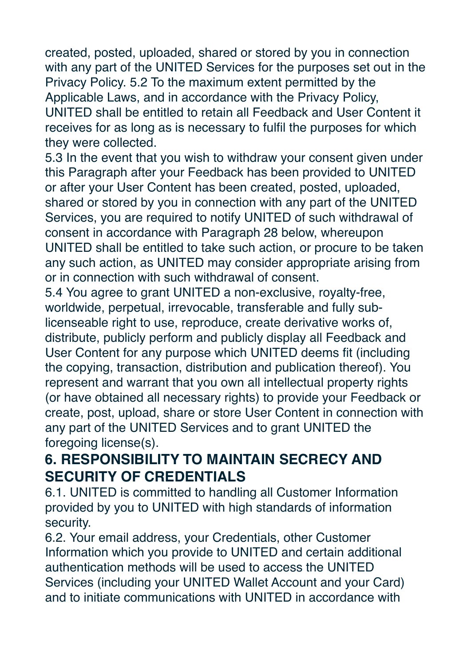created, posted, uploaded, shared or stored by you in connection with any part of the UNITED Services for the purposes set out in the Privacy Policy. 5.2 To the maximum extent permitted by the Applicable Laws, and in accordance with the Privacy Policy, UNITED shall be entitled to retain all Feedback and User Content it receives for as long as is necessary to fulfil the purposes for which they were collected.

5.3 In the event that you wish to withdraw your consent given under this Paragraph after your Feedback has been provided to UNITED or after your User Content has been created, posted, uploaded, shared or stored by you in connection with any part of the UNITED Services, you are required to notify UNITED of such withdrawal of consent in accordance with Paragraph 28 below, whereupon UNITED shall be entitled to take such action, or procure to be taken any such action, as UNITED may consider appropriate arising from or in connection with such withdrawal of consent.

5.4 You agree to grant UNITED a non-exclusive, royalty-free, worldwide, perpetual, irrevocable, transferable and fully sublicenseable right to use, reproduce, create derivative works of, distribute, publicly perform and publicly display all Feedback and User Content for any purpose which UNITED deems fit (including the copying, transaction, distribution and publication thereof). You represent and warrant that you own all intellectual property rights (or have obtained all necessary rights) to provide your Feedback or create, post, upload, share or store User Content in connection with any part of the UNITED Services and to grant UNITED the foregoing license(s).

# **6. RESPONSIBILITY TO MAINTAIN SECRECY AND SECURITY OF CREDENTIALS**

6.1. UNITED is committed to handling all Customer Information provided by you to UNITED with high standards of information security.

6.2. Your email address, your Credentials, other Customer Information which you provide to UNITED and certain additional authentication methods will be used to access the UNITED Services (including your UNITED Wallet Account and your Card) and to initiate communications with UNITED in accordance with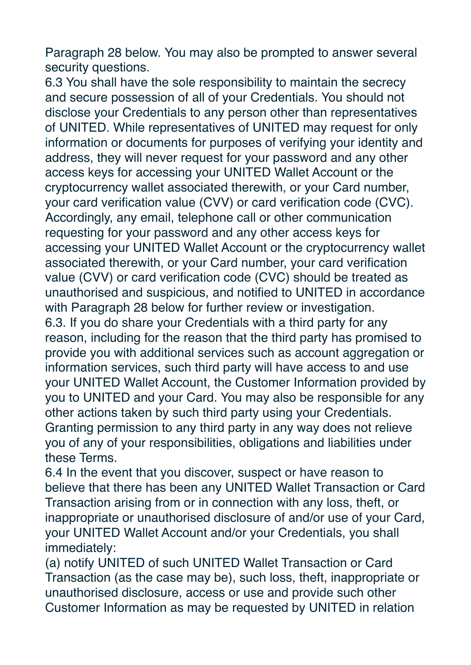Paragraph 28 below. You may also be prompted to answer several security questions.

6.3 You shall have the sole responsibility to maintain the secrecy and secure possession of all of your Credentials. You should not disclose your Credentials to any person other than representatives of UNITED. While representatives of UNITED may request for only information or documents for purposes of verifying your identity and address, they will never request for your password and any other access keys for accessing your UNITED Wallet Account or the cryptocurrency wallet associated therewith, or your Card number, your card verification value (CVV) or card verification code (CVC). Accordingly, any email, telephone call or other communication requesting for your password and any other access keys for accessing your UNITED Wallet Account or the cryptocurrency wallet associated therewith, or your Card number, your card verification value (CVV) or card verification code (CVC) should be treated as unauthorised and suspicious, and notified to UNITED in accordance with Paragraph 28 below for further review or investigation. 6.3. If you do share your Credentials with a third party for any reason, including for the reason that the third party has promised to provide you with additional services such as account aggregation or information services, such third party will have access to and use your UNITED Wallet Account, the Customer Information provided by you to UNITED and your Card. You may also be responsible for any other actions taken by such third party using your Credentials. Granting permission to any third party in any way does not relieve you of any of your responsibilities, obligations and liabilities under these Terms.

6.4 In the event that you discover, suspect or have reason to believe that there has been any UNITED Wallet Transaction or Card Transaction arising from or in connection with any loss, theft, or inappropriate or unauthorised disclosure of and/or use of your Card, your UNITED Wallet Account and/or your Credentials, you shall immediately:

(a) notify UNITED of such UNITED Wallet Transaction or Card Transaction (as the case may be), such loss, theft, inappropriate or unauthorised disclosure, access or use and provide such other Customer Information as may be requested by UNITED in relation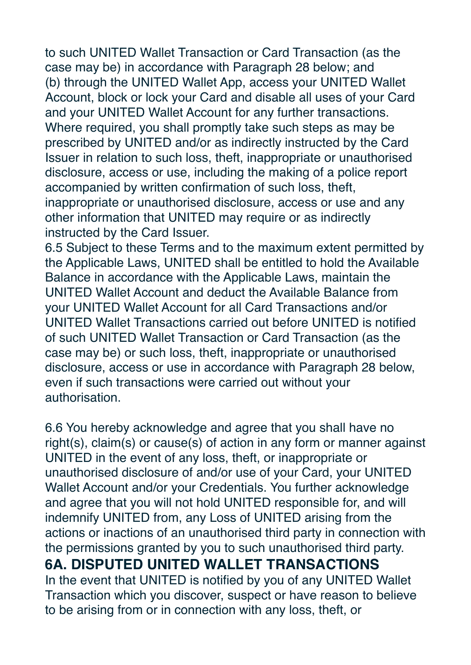to such UNITED Wallet Transaction or Card Transaction (as the case may be) in accordance with Paragraph 28 below; and (b) through the UNITED Wallet App, access your UNITED Wallet Account, block or lock your Card and disable all uses of your Card and your UNITED Wallet Account for any further transactions. Where required, you shall promptly take such steps as may be prescribed by UNITED and/or as indirectly instructed by the Card Issuer in relation to such loss, theft, inappropriate or unauthorised disclosure, access or use, including the making of a police report accompanied by written confirmation of such loss, theft, inappropriate or unauthorised disclosure, access or use and any other information that UNITED may require or as indirectly instructed by the Card Issuer.

6.5 Subject to these Terms and to the maximum extent permitted by the Applicable Laws, UNITED shall be entitled to hold the Available Balance in accordance with the Applicable Laws, maintain the UNITED Wallet Account and deduct the Available Balance from your UNITED Wallet Account for all Card Transactions and/or UNITED Wallet Transactions carried out before UNITED is notified of such UNITED Wallet Transaction or Card Transaction (as the case may be) or such loss, theft, inappropriate or unauthorised disclosure, access or use in accordance with Paragraph 28 below, even if such transactions were carried out without your authorisation.

6.6 You hereby acknowledge and agree that you shall have no right(s), claim(s) or cause(s) of action in any form or manner against UNITED in the event of any loss, theft, or inappropriate or unauthorised disclosure of and/or use of your Card, your UNITED Wallet Account and/or your Credentials. You further acknowledge and agree that you will not hold UNITED responsible for, and will indemnify UNITED from, any Loss of UNITED arising from the actions or inactions of an unauthorised third party in connection with the permissions granted by you to such unauthorised third party.

**6A. DISPUTED UNITED WALLET TRANSACTIONS**

In the event that UNITED is notified by you of any UNITED Wallet Transaction which you discover, suspect or have reason to believe to be arising from or in connection with any loss, theft, or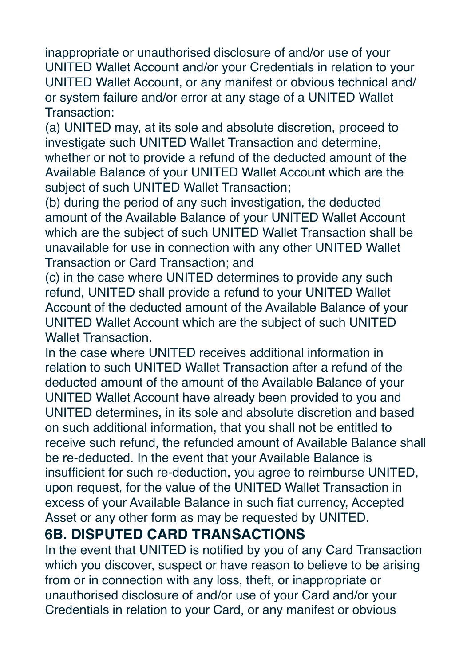inappropriate or unauthorised disclosure of and/or use of your UNITED Wallet Account and/or your Credentials in relation to your UNITED Wallet Account, or any manifest or obvious technical and/ or system failure and/or error at any stage of a UNITED Wallet Transaction:

(a) UNITED may, at its sole and absolute discretion, proceed to investigate such UNITED Wallet Transaction and determine, whether or not to provide a refund of the deducted amount of the Available Balance of your UNITED Wallet Account which are the subject of such UNITED Wallet Transaction;

(b) during the period of any such investigation, the deducted amount of the Available Balance of your UNITED Wallet Account which are the subject of such UNITED Wallet Transaction shall be unavailable for use in connection with any other UNITED Wallet Transaction or Card Transaction; and

(c) in the case where UNITED determines to provide any such refund, UNITED shall provide a refund to your UNITED Wallet Account of the deducted amount of the Available Balance of your UNITED Wallet Account which are the subject of such UNITED Wallet Transaction.

In the case where UNITED receives additional information in relation to such UNITED Wallet Transaction after a refund of the deducted amount of the amount of the Available Balance of your UNITED Wallet Account have already been provided to you and UNITED determines, in its sole and absolute discretion and based on such additional information, that you shall not be entitled to receive such refund, the refunded amount of Available Balance shall be re-deducted. In the event that your Available Balance is insufficient for such re-deduction, you agree to reimburse UNITED, upon request, for the value of the UNITED Wallet Transaction in excess of your Available Balance in such fiat currency, Accepted Asset or any other form as may be requested by UNITED.

#### **6B. DISPUTED CARD TRANSACTIONS**

In the event that UNITED is notified by you of any Card Transaction which you discover, suspect or have reason to believe to be arising from or in connection with any loss, theft, or inappropriate or unauthorised disclosure of and/or use of your Card and/or your Credentials in relation to your Card, or any manifest or obvious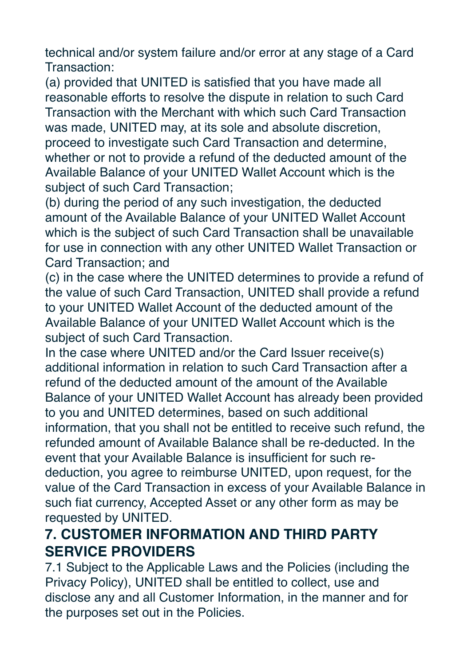technical and/or system failure and/or error at any stage of a Card Transaction:

(a) provided that UNITED is satisfied that you have made all reasonable efforts to resolve the dispute in relation to such Card Transaction with the Merchant with which such Card Transaction was made, UNITED may, at its sole and absolute discretion, proceed to investigate such Card Transaction and determine, whether or not to provide a refund of the deducted amount of the Available Balance of your UNITED Wallet Account which is the subject of such Card Transaction;

(b) during the period of any such investigation, the deducted amount of the Available Balance of your UNITED Wallet Account which is the subject of such Card Transaction shall be unavailable for use in connection with any other UNITED Wallet Transaction or Card Transaction; and

(c) in the case where the UNITED determines to provide a refund of the value of such Card Transaction, UNITED shall provide a refund to your UNITED Wallet Account of the deducted amount of the Available Balance of your UNITED Wallet Account which is the subject of such Card Transaction.

In the case where UNITED and/or the Card Issuer receive(s) additional information in relation to such Card Transaction after a refund of the deducted amount of the amount of the Available Balance of your UNITED Wallet Account has already been provided to you and UNITED determines, based on such additional information, that you shall not be entitled to receive such refund, the refunded amount of Available Balance shall be re-deducted. In the event that your Available Balance is insufficient for such rededuction, you agree to reimburse UNITED, upon request, for the value of the Card Transaction in excess of your Available Balance in such fiat currency, Accepted Asset or any other form as may be requested by UNITED.

## **7. CUSTOMER INFORMATION AND THIRD PARTY SERVICE PROVIDERS**

7.1 Subject to the Applicable Laws and the Policies (including the Privacy Policy), UNITED shall be entitled to collect, use and disclose any and all Customer Information, in the manner and for the purposes set out in the Policies.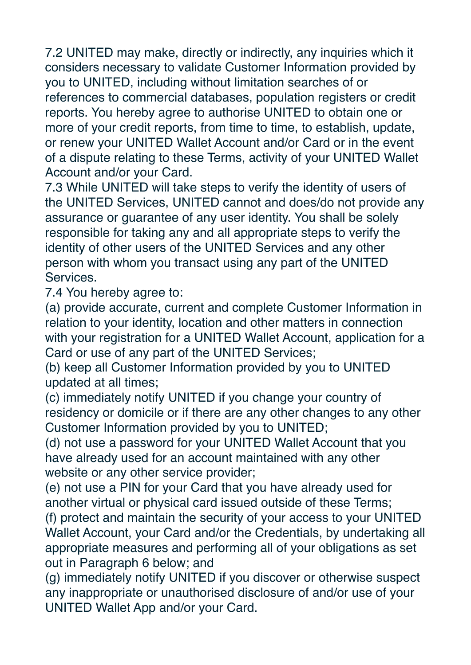7.2 UNITED may make, directly or indirectly, any inquiries which it considers necessary to validate Customer Information provided by you to UNITED, including without limitation searches of or references to commercial databases, population registers or credit reports. You hereby agree to authorise UNITED to obtain one or more of your credit reports, from time to time, to establish, update, or renew your UNITED Wallet Account and/or Card or in the event of a dispute relating to these Terms, activity of your UNITED Wallet Account and/or your Card.

7.3 While UNITED will take steps to verify the identity of users of the UNITED Services, UNITED cannot and does/do not provide any assurance or guarantee of any user identity. You shall be solely responsible for taking any and all appropriate steps to verify the identity of other users of the UNITED Services and any other person with whom you transact using any part of the UNITED Services.

7.4 You hereby agree to:

(a) provide accurate, current and complete Customer Information in relation to your identity, location and other matters in connection with your registration for a UNITED Wallet Account, application for a Card or use of any part of the UNITED Services;

(b) keep all Customer Information provided by you to UNITED updated at all times;

(c) immediately notify UNITED if you change your country of residency or domicile or if there are any other changes to any other Customer Information provided by you to UNITED;

(d) not use a password for your UNITED Wallet Account that you have already used for an account maintained with any other website or any other service provider;

(e) not use a PIN for your Card that you have already used for another virtual or physical card issued outside of these Terms;

(f) protect and maintain the security of your access to your UNITED Wallet Account, your Card and/or the Credentials, by undertaking all appropriate measures and performing all of your obligations as set out in Paragraph 6 below; and

(g) immediately notify UNITED if you discover or otherwise suspect any inappropriate or unauthorised disclosure of and/or use of your UNITED Wallet App and/or your Card.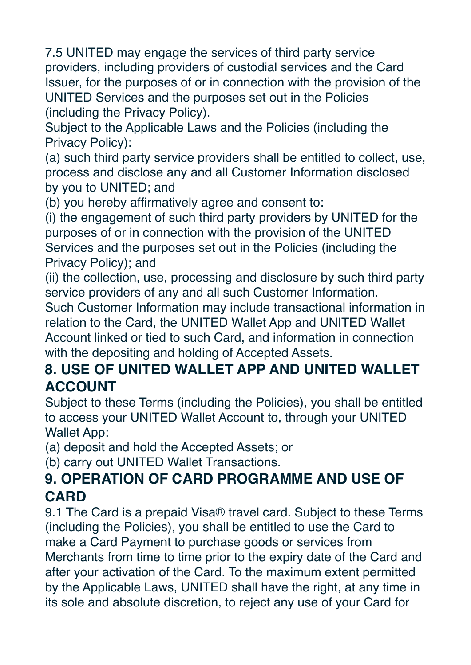7.5 UNITED may engage the services of third party service providers, including providers of custodial services and the Card Issuer, for the purposes of or in connection with the provision of the UNITED Services and the purposes set out in the Policies (including the Privacy Policy).

Subject to the Applicable Laws and the Policies (including the Privacy Policy):

(a) such third party service providers shall be entitled to collect, use, process and disclose any and all Customer Information disclosed by you to UNITED; and

(b) you hereby affirmatively agree and consent to:

(i) the engagement of such third party providers by UNITED for the purposes of or in connection with the provision of the UNITED Services and the purposes set out in the Policies (including the Privacy Policy); and

(ii) the collection, use, processing and disclosure by such third party service providers of any and all such Customer Information.

Such Customer Information may include transactional information in relation to the Card, the UNITED Wallet App and UNITED Wallet Account linked or tied to such Card, and information in connection with the depositing and holding of Accepted Assets.

#### **8. USE OF UNITED WALLET APP AND UNITED WALLET ACCOUNT**

Subject to these Terms (including the Policies), you shall be entitled to access your UNITED Wallet Account to, through your UNITED Wallet App:

(a) deposit and hold the Accepted Assets; or

(b) carry out UNITED Wallet Transactions.

#### **9. OPERATION OF CARD PROGRAMME AND USE OF CARD**

9.1 The Card is a prepaid Visa® travel card. Subject to these Terms (including the Policies), you shall be entitled to use the Card to make a Card Payment to purchase goods or services from Merchants from time to time prior to the expiry date of the Card and after your activation of the Card. To the maximum extent permitted by the Applicable Laws, UNITED shall have the right, at any time in its sole and absolute discretion, to reject any use of your Card for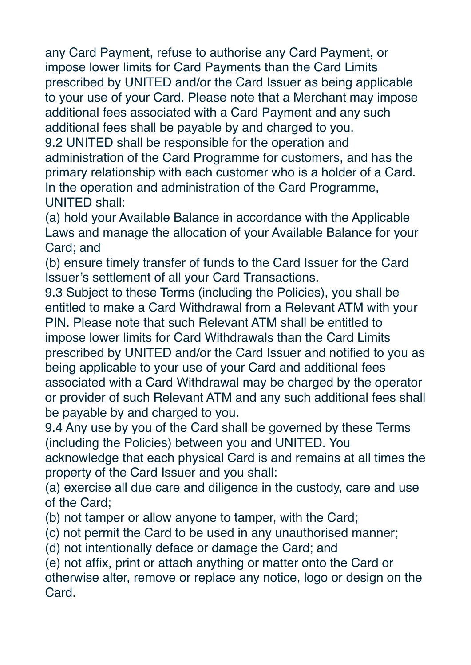any Card Payment, refuse to authorise any Card Payment, or impose lower limits for Card Payments than the Card Limits prescribed by UNITED and/or the Card Issuer as being applicable to your use of your Card. Please note that a Merchant may impose additional fees associated with a Card Payment and any such additional fees shall be payable by and charged to you.

9.2 UNITED shall be responsible for the operation and administration of the Card Programme for customers, and has the primary relationship with each customer who is a holder of a Card. In the operation and administration of the Card Programme, UNITED shall:

(a) hold your Available Balance in accordance with the Applicable Laws and manage the allocation of your Available Balance for your Card; and

(b) ensure timely transfer of funds to the Card Issuer for the Card Issuer's settlement of all your Card Transactions.

9.3 Subject to these Terms (including the Policies), you shall be entitled to make a Card Withdrawal from a Relevant ATM with your PIN. Please note that such Relevant ATM shall be entitled to impose lower limits for Card Withdrawals than the Card Limits prescribed by UNITED and/or the Card Issuer and notified to you as being applicable to your use of your Card and additional fees associated with a Card Withdrawal may be charged by the operator or provider of such Relevant ATM and any such additional fees shall be payable by and charged to you.

9.4 Any use by you of the Card shall be governed by these Terms (including the Policies) between you and UNITED. You

acknowledge that each physical Card is and remains at all times the property of the Card Issuer and you shall:

(a) exercise all due care and diligence in the custody, care and use of the Card;

(b) not tamper or allow anyone to tamper, with the Card;

(c) not permit the Card to be used in any unauthorised manner;

(d) not intentionally deface or damage the Card; and

(e) not affix, print or attach anything or matter onto the Card or otherwise alter, remove or replace any notice, logo or design on the **Card**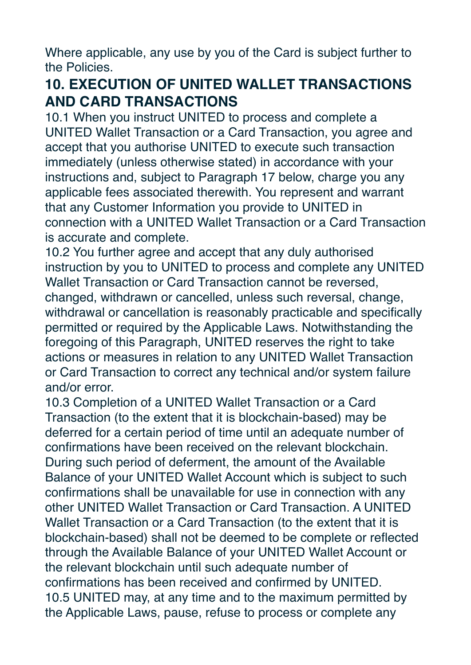Where applicable, any use by you of the Card is subject further to the Policies.

#### **10. EXECUTION OF UNITED WALLET TRANSACTIONS AND CARD TRANSACTIONS**

10.1 When you instruct UNITED to process and complete a UNITED Wallet Transaction or a Card Transaction, you agree and accept that you authorise UNITED to execute such transaction immediately (unless otherwise stated) in accordance with your instructions and, subject to Paragraph 17 below, charge you any applicable fees associated therewith. You represent and warrant that any Customer Information you provide to UNITED in connection with a UNITED Wallet Transaction or a Card Transaction is accurate and complete.

10.2 You further agree and accept that any duly authorised instruction by you to UNITED to process and complete any UNITED Wallet Transaction or Card Transaction cannot be reversed, changed, withdrawn or cancelled, unless such reversal, change, withdrawal or cancellation is reasonably practicable and specifically permitted or required by the Applicable Laws. Notwithstanding the foregoing of this Paragraph, UNITED reserves the right to take actions or measures in relation to any UNITED Wallet Transaction or Card Transaction to correct any technical and/or system failure and/or error.

10.3 Completion of a UNITED Wallet Transaction or a Card Transaction (to the extent that it is blockchain-based) may be deferred for a certain period of time until an adequate number of confirmations have been received on the relevant blockchain. During such period of deferment, the amount of the Available Balance of your UNITED Wallet Account which is subject to such confirmations shall be unavailable for use in connection with any other UNITED Wallet Transaction or Card Transaction. A UNITED Wallet Transaction or a Card Transaction (to the extent that it is blockchain-based) shall not be deemed to be complete or reflected through the Available Balance of your UNITED Wallet Account or the relevant blockchain until such adequate number of confirmations has been received and confirmed by UNITED. 10.5 UNITED may, at any time and to the maximum permitted by the Applicable Laws, pause, refuse to process or complete any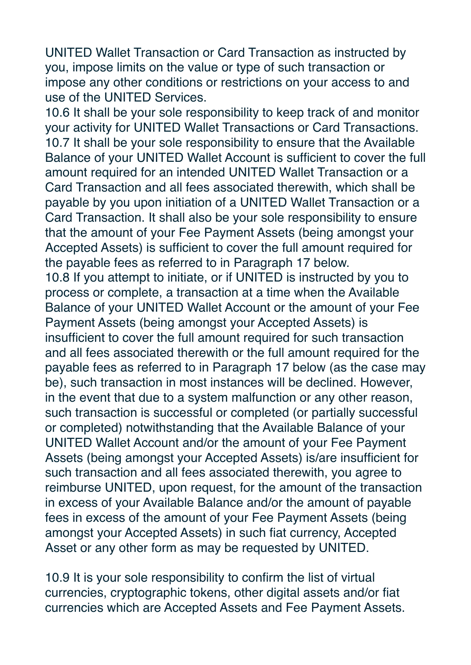UNITED Wallet Transaction or Card Transaction as instructed by you, impose limits on the value or type of such transaction or impose any other conditions or restrictions on your access to and use of the UNITED Services.

10.6 It shall be your sole responsibility to keep track of and monitor your activity for UNITED Wallet Transactions or Card Transactions. 10.7 It shall be your sole responsibility to ensure that the Available Balance of your UNITED Wallet Account is sufficient to cover the full amount required for an intended UNITED Wallet Transaction or a Card Transaction and all fees associated therewith, which shall be payable by you upon initiation of a UNITED Wallet Transaction or a Card Transaction. It shall also be your sole responsibility to ensure that the amount of your Fee Payment Assets (being amongst your Accepted Assets) is sufficient to cover the full amount required for the payable fees as referred to in Paragraph 17 below.

10.8 If you attempt to initiate, or if UNITED is instructed by you to process or complete, a transaction at a time when the Available Balance of your UNITED Wallet Account or the amount of your Fee Payment Assets (being amongst your Accepted Assets) is insufficient to cover the full amount required for such transaction and all fees associated therewith or the full amount required for the payable fees as referred to in Paragraph 17 below (as the case may be), such transaction in most instances will be declined. However, in the event that due to a system malfunction or any other reason, such transaction is successful or completed (or partially successful or completed) notwithstanding that the Available Balance of your UNITED Wallet Account and/or the amount of your Fee Payment Assets (being amongst your Accepted Assets) is/are insufficient for such transaction and all fees associated therewith, you agree to reimburse UNITED, upon request, for the amount of the transaction in excess of your Available Balance and/or the amount of payable fees in excess of the amount of your Fee Payment Assets (being amongst your Accepted Assets) in such fiat currency, Accepted Asset or any other form as may be requested by UNITED.

10.9 It is your sole responsibility to confirm the list of virtual currencies, cryptographic tokens, other digital assets and/or fiat currencies which are Accepted Assets and Fee Payment Assets.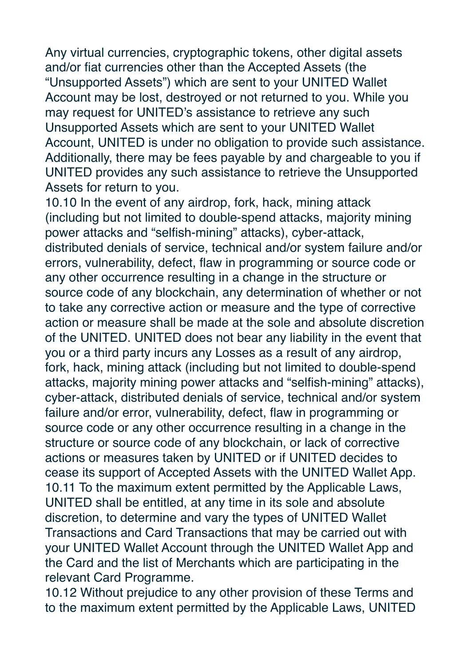Any virtual currencies, cryptographic tokens, other digital assets and/or fiat currencies other than the Accepted Assets (the "Unsupported Assets") which are sent to your UNITED Wallet Account may be lost, destroyed or not returned to you. While you may request for UNITED's assistance to retrieve any such Unsupported Assets which are sent to your UNITED Wallet Account, UNITED is under no obligation to provide such assistance. Additionally, there may be fees payable by and chargeable to you if UNITED provides any such assistance to retrieve the Unsupported Assets for return to you.

10.10 In the event of any airdrop, fork, hack, mining attack (including but not limited to double-spend attacks, majority mining power attacks and "selfish-mining" attacks), cyber-attack, distributed denials of service, technical and/or system failure and/or errors, vulnerability, defect, flaw in programming or source code or any other occurrence resulting in a change in the structure or source code of any blockchain, any determination of whether or not to take any corrective action or measure and the type of corrective action or measure shall be made at the sole and absolute discretion of the UNITED. UNITED does not bear any liability in the event that you or a third party incurs any Losses as a result of any airdrop, fork, hack, mining attack (including but not limited to double-spend attacks, majority mining power attacks and "selfish-mining" attacks), cyber-attack, distributed denials of service, technical and/or system failure and/or error, vulnerability, defect, flaw in programming or source code or any other occurrence resulting in a change in the structure or source code of any blockchain, or lack of corrective actions or measures taken by UNITED or if UNITED decides to cease its support of Accepted Assets with the UNITED Wallet App. 10.11 To the maximum extent permitted by the Applicable Laws, UNITED shall be entitled, at any time in its sole and absolute discretion, to determine and vary the types of UNITED Wallet Transactions and Card Transactions that may be carried out with your UNITED Wallet Account through the UNITED Wallet App and the Card and the list of Merchants which are participating in the relevant Card Programme.

10.12 Without prejudice to any other provision of these Terms and to the maximum extent permitted by the Applicable Laws, UNITED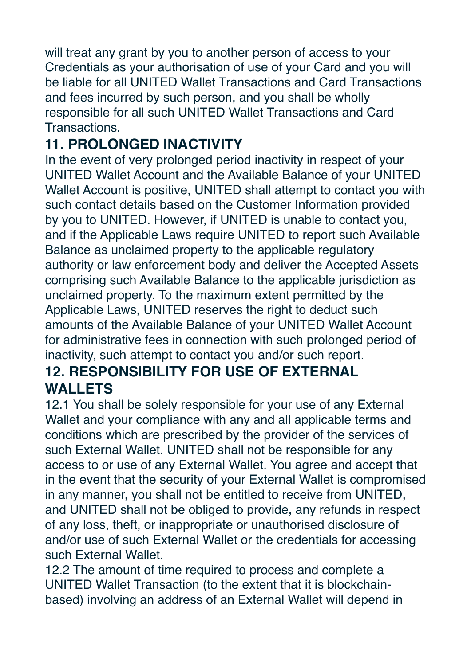will treat any grant by you to another person of access to your Credentials as your authorisation of use of your Card and you will be liable for all UNITED Wallet Transactions and Card Transactions and fees incurred by such person, and you shall be wholly responsible for all such UNITED Wallet Transactions and Card Transactions.

# **11. PROLONGED INACTIVITY**

In the event of very prolonged period inactivity in respect of your UNITED Wallet Account and the Available Balance of your UNITED Wallet Account is positive, UNITED shall attempt to contact you with such contact details based on the Customer Information provided by you to UNITED. However, if UNITED is unable to contact you, and if the Applicable Laws require UNITED to report such Available Balance as unclaimed property to the applicable regulatory authority or law enforcement body and deliver the Accepted Assets comprising such Available Balance to the applicable jurisdiction as unclaimed property. To the maximum extent permitted by the Applicable Laws, UNITED reserves the right to deduct such amounts of the Available Balance of your UNITED Wallet Account for administrative fees in connection with such prolonged period of inactivity, such attempt to contact you and/or such report.

# **12. RESPONSIBILITY FOR USE OF EXTERNAL WALLETS**

12.1 You shall be solely responsible for your use of any External Wallet and your compliance with any and all applicable terms and conditions which are prescribed by the provider of the services of such External Wallet. UNITED shall not be responsible for any access to or use of any External Wallet. You agree and accept that in the event that the security of your External Wallet is compromised in any manner, you shall not be entitled to receive from UNITED, and UNITED shall not be obliged to provide, any refunds in respect of any loss, theft, or inappropriate or unauthorised disclosure of and/or use of such External Wallet or the credentials for accessing such External Wallet.

12.2 The amount of time required to process and complete a UNITED Wallet Transaction (to the extent that it is blockchainbased) involving an address of an External Wallet will depend in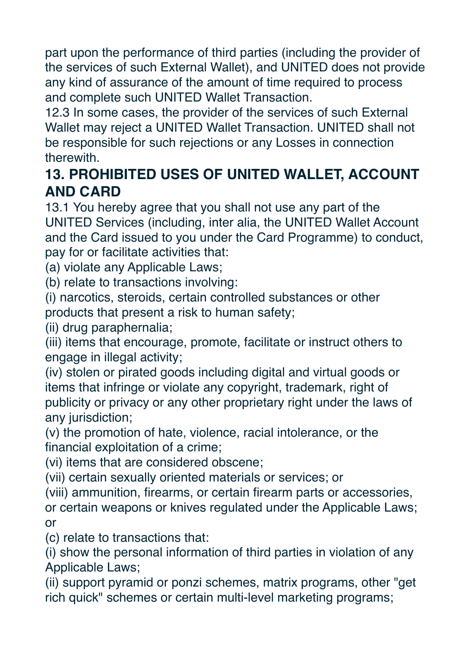part upon the performance of third parties (including the provider of the services of such External Wallet), and UNITED does not provide any kind of assurance of the amount of time required to process and complete such UNITED Wallet Transaction.

12.3 In some cases, the provider of the services of such External Wallet may reject a UNITED Wallet Transaction. UNITED shall not be responsible for such rejections or any Losses in connection therewith.

## **13. PROHIBITED USES OF UNITED WALLET, ACCOUNT AND CARD**

13.1 You hereby agree that you shall not use any part of the UNITED Services (including, inter alia, the UNITED Wallet Account and the Card issued to you under the Card Programme) to conduct, pay for or facilitate activities that:

(a) violate any Applicable Laws;

(b) relate to transactions involving:

(i) narcotics, steroids, certain controlled substances or other products that present a risk to human safety;

(ii) drug paraphernalia;

(iii) items that encourage, promote, facilitate or instruct others to engage in illegal activity;

(iv) stolen or pirated goods including digital and virtual goods or items that infringe or violate any copyright, trademark, right of publicity or privacy or any other proprietary right under the laws of any jurisdiction;

(v) the promotion of hate, violence, racial intolerance, or the financial exploitation of a crime;

(vi) items that are considered obscene;

(vii) certain sexually oriented materials or services; or

(viii) ammunition, firearms, or certain firearm parts or accessories, or certain weapons or knives regulated under the Applicable Laws; or

(c) relate to transactions that:

(i) show the personal information of third parties in violation of any Applicable Laws;

(ii) support pyramid or ponzi schemes, matrix programs, other "get rich quick" schemes or certain multi-level marketing programs;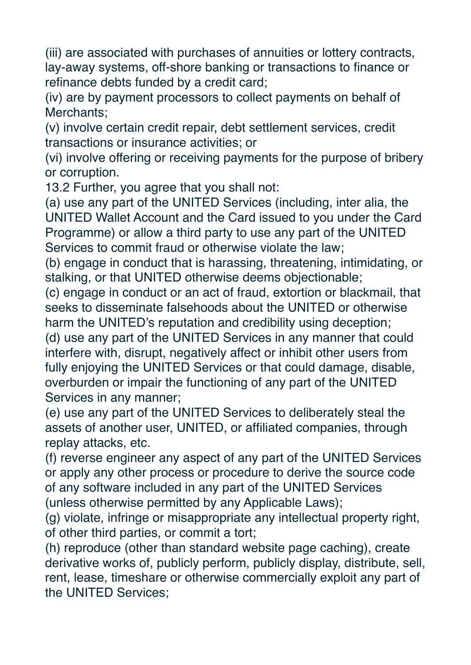(iii) are associated with purchases of annuities or lottery contracts, lay-away systems, off-shore banking or transactions to finance or refinance debts funded by a credit card;

(iv) are by payment processors to collect payments on behalf of Merchants;

(v) involve certain credit repair, debt settlement services, credit transactions or insurance activities; or

(vi) involve offering or receiving payments for the purpose of bribery or corruption.

13.2 Further, you agree that you shall not:

(a) use any part of the UNITED Services (including, inter alia, the UNITED Wallet Account and the Card issued to you under the Card Programme) or allow a third party to use any part of the UNITED Services to commit fraud or otherwise violate the law;

(b) engage in conduct that is harassing, threatening, intimidating, or stalking, or that UNITED otherwise deems objectionable;

(c) engage in conduct or an act of fraud, extortion or blackmail, that seeks to disseminate falsehoods about the UNITED or otherwise harm the UNITED's reputation and credibility using deception;

(d) use any part of the UNITED Services in any manner that could interfere with, disrupt, negatively affect or inhibit other users from fully enjoying the UNITED Services or that could damage, disable, overburden or impair the functioning of any part of the UNITED Services in any manner;

(e) use any part of the UNITED Services to deliberately steal the assets of another user, UNITED, or affiliated companies, through replay attacks, etc.

(f) reverse engineer any aspect of any part of the UNITED Services or apply any other process or procedure to derive the source code of any software included in any part of the UNITED Services (unless otherwise permitted by any Applicable Laws);

(g) violate, infringe or misappropriate any intellectual property right, of other third parties, or commit a tort;

(h) reproduce (other than standard website page caching), create derivative works of, publicly perform, publicly display, distribute, sell, rent, lease, timeshare or otherwise commercially exploit any part of the UNITED Services;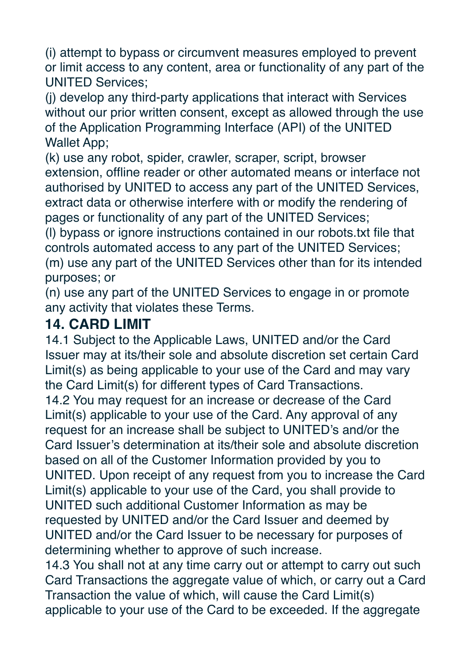(i) attempt to bypass or circumvent measures employed to prevent or limit access to any content, area or functionality of any part of the UNITED Services;

(j) develop any third-party applications that interact with Services without our prior written consent, except as allowed through the use of the Application Programming Interface (API) of the UNITED Wallet App;

(k) use any robot, spider, crawler, scraper, script, browser extension, offline reader or other automated means or interface not authorised by UNITED to access any part of the UNITED Services, extract data or otherwise interfere with or modify the rendering of pages or functionality of any part of the UNITED Services;

(l) bypass or ignore instructions contained in our robots.txt file that controls automated access to any part of the UNITED Services; (m) use any part of the UNITED Services other than for its intended purposes; or

(n) use any part of the UNITED Services to engage in or promote any activity that violates these Terms.

### **14. CARD LIMIT**

14.1 Subject to the Applicable Laws, UNITED and/or the Card Issuer may at its/their sole and absolute discretion set certain Card Limit(s) as being applicable to your use of the Card and may vary the Card Limit(s) for different types of Card Transactions. 14.2 You may request for an increase or decrease of the Card Limit(s) applicable to your use of the Card. Any approval of any request for an increase shall be subject to UNITED's and/or the Card Issuer's determination at its/their sole and absolute discretion based on all of the Customer Information provided by you to UNITED. Upon receipt of any request from you to increase the Card Limit(s) applicable to your use of the Card, you shall provide to UNITED such additional Customer Information as may be requested by UNITED and/or the Card Issuer and deemed by UNITED and/or the Card Issuer to be necessary for purposes of determining whether to approve of such increase.

14.3 You shall not at any time carry out or attempt to carry out such Card Transactions the aggregate value of which, or carry out a Card Transaction the value of which, will cause the Card Limit(s) applicable to your use of the Card to be exceeded. If the aggregate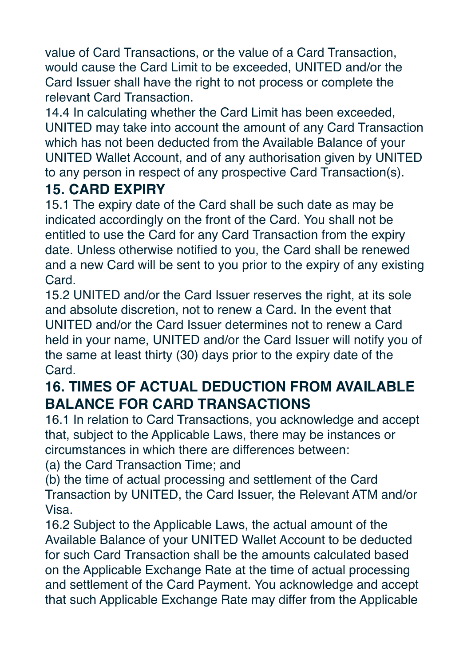value of Card Transactions, or the value of a Card Transaction, would cause the Card Limit to be exceeded, UNITED and/or the Card Issuer shall have the right to not process or complete the relevant Card Transaction.

14.4 In calculating whether the Card Limit has been exceeded, UNITED may take into account the amount of any Card Transaction which has not been deducted from the Available Balance of your UNITED Wallet Account, and of any authorisation given by UNITED to any person in respect of any prospective Card Transaction(s).

#### **15. CARD EXPIRY**

15.1 The expiry date of the Card shall be such date as may be indicated accordingly on the front of the Card. You shall not be entitled to use the Card for any Card Transaction from the expiry date. Unless otherwise notified to you, the Card shall be renewed and a new Card will be sent to you prior to the expiry of any existing Card.

15.2 UNITED and/or the Card Issuer reserves the right, at its sole and absolute discretion, not to renew a Card. In the event that UNITED and/or the Card Issuer determines not to renew a Card held in your name, UNITED and/or the Card Issuer will notify you of the same at least thirty (30) days prior to the expiry date of the Card.

## **16. TIMES OF ACTUAL DEDUCTION FROM AVAILABLE BALANCE FOR CARD TRANSACTIONS**

16.1 In relation to Card Transactions, you acknowledge and accept that, subject to the Applicable Laws, there may be instances or circumstances in which there are differences between:

(a) the Card Transaction Time; and

(b) the time of actual processing and settlement of the Card Transaction by UNITED, the Card Issuer, the Relevant ATM and/or Visa.

16.2 Subject to the Applicable Laws, the actual amount of the Available Balance of your UNITED Wallet Account to be deducted for such Card Transaction shall be the amounts calculated based on the Applicable Exchange Rate at the time of actual processing and settlement of the Card Payment. You acknowledge and accept that such Applicable Exchange Rate may differ from the Applicable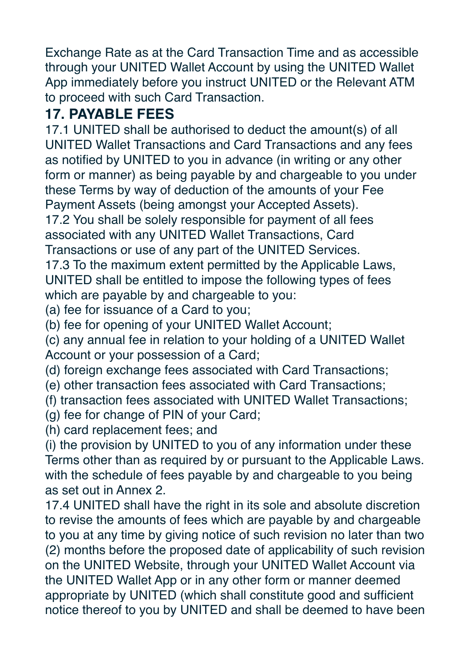Exchange Rate as at the Card Transaction Time and as accessible through your UNITED Wallet Account by using the UNITED Wallet App immediately before you instruct UNITED or the Relevant ATM to proceed with such Card Transaction.

# **17. PAYABLE FEES**

17.1 UNITED shall be authorised to deduct the amount(s) of all UNITED Wallet Transactions and Card Transactions and any fees as notified by UNITED to you in advance (in writing or any other form or manner) as being payable by and chargeable to you under these Terms by way of deduction of the amounts of your Fee Payment Assets (being amongst your Accepted Assets).

17.2 You shall be solely responsible for payment of all fees associated with any UNITED Wallet Transactions, Card Transactions or use of any part of the UNITED Services.

17.3 To the maximum extent permitted by the Applicable Laws, UNITED shall be entitled to impose the following types of fees which are payable by and chargeable to you:

- (a) fee for issuance of a Card to you;
- (b) fee for opening of your UNITED Wallet Account;

(c) any annual fee in relation to your holding of a UNITED Wallet Account or your possession of a Card;

- (d) foreign exchange fees associated with Card Transactions;
- (e) other transaction fees associated with Card Transactions;
- (f) transaction fees associated with UNITED Wallet Transactions;
- (g) fee for change of PIN of your Card;
- (h) card replacement fees; and

(i) the provision by UNITED to you of any information under these Terms other than as required by or pursuant to the Applicable Laws. with the schedule of fees payable by and chargeable to you being as set out in Annex 2.

17.4 UNITED shall have the right in its sole and absolute discretion to revise the amounts of fees which are payable by and chargeable to you at any time by giving notice of such revision no later than two (2) months before the proposed date of applicability of such revision on the UNITED Website, through your UNITED Wallet Account via the UNITED Wallet App or in any other form or manner deemed appropriate by UNITED (which shall constitute good and sufficient notice thereof to you by UNITED and shall be deemed to have been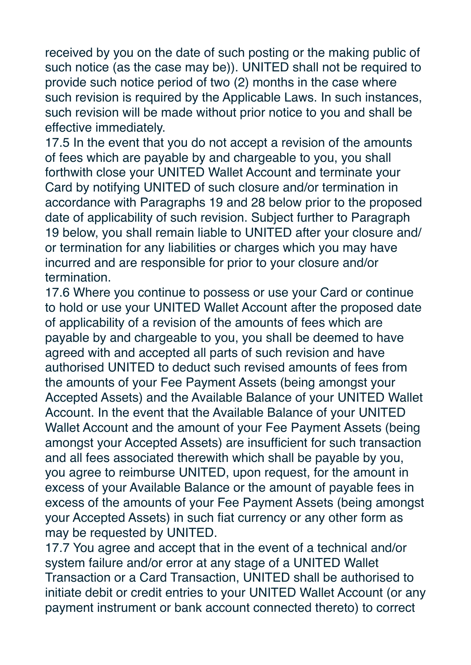received by you on the date of such posting or the making public of such notice (as the case may be)). UNITED shall not be required to provide such notice period of two (2) months in the case where such revision is required by the Applicable Laws. In such instances, such revision will be made without prior notice to you and shall be effective immediately.

17.5 In the event that you do not accept a revision of the amounts of fees which are payable by and chargeable to you, you shall forthwith close your UNITED Wallet Account and terminate your Card by notifying UNITED of such closure and/or termination in accordance with Paragraphs 19 and 28 below prior to the proposed date of applicability of such revision. Subject further to Paragraph 19 below, you shall remain liable to UNITED after your closure and/ or termination for any liabilities or charges which you may have incurred and are responsible for prior to your closure and/or termination.

17.6 Where you continue to possess or use your Card or continue to hold or use your UNITED Wallet Account after the proposed date of applicability of a revision of the amounts of fees which are payable by and chargeable to you, you shall be deemed to have agreed with and accepted all parts of such revision and have authorised UNITED to deduct such revised amounts of fees from the amounts of your Fee Payment Assets (being amongst your Accepted Assets) and the Available Balance of your UNITED Wallet Account. In the event that the Available Balance of your UNITED Wallet Account and the amount of your Fee Payment Assets (being amongst your Accepted Assets) are insufficient for such transaction and all fees associated therewith which shall be payable by you, you agree to reimburse UNITED, upon request, for the amount in excess of your Available Balance or the amount of payable fees in excess of the amounts of your Fee Payment Assets (being amongst your Accepted Assets) in such fiat currency or any other form as may be requested by UNITED.

17.7 You agree and accept that in the event of a technical and/or system failure and/or error at any stage of a UNITED Wallet Transaction or a Card Transaction, UNITED shall be authorised to initiate debit or credit entries to your UNITED Wallet Account (or any payment instrument or bank account connected thereto) to correct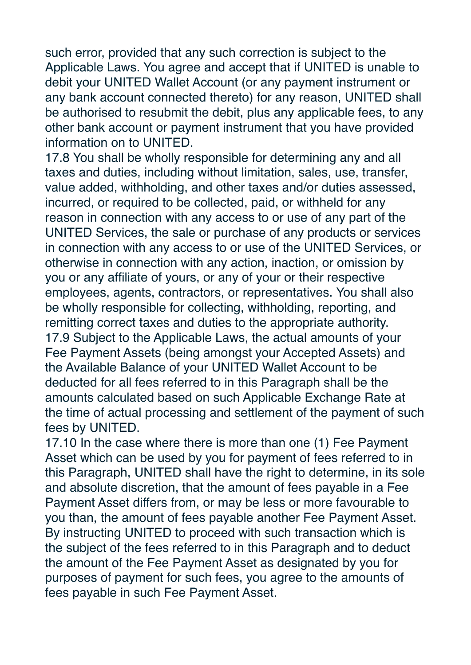such error, provided that any such correction is subject to the Applicable Laws. You agree and accept that if UNITED is unable to debit your UNITED Wallet Account (or any payment instrument or any bank account connected thereto) for any reason, UNITED shall be authorised to resubmit the debit, plus any applicable fees, to any other bank account or payment instrument that you have provided information on to UNITED.

17.8 You shall be wholly responsible for determining any and all taxes and duties, including without limitation, sales, use, transfer, value added, withholding, and other taxes and/or duties assessed, incurred, or required to be collected, paid, or withheld for any reason in connection with any access to or use of any part of the UNITED Services, the sale or purchase of any products or services in connection with any access to or use of the UNITED Services, or otherwise in connection with any action, inaction, or omission by you or any affiliate of yours, or any of your or their respective employees, agents, contractors, or representatives. You shall also be wholly responsible for collecting, withholding, reporting, and remitting correct taxes and duties to the appropriate authority. 17.9 Subject to the Applicable Laws, the actual amounts of your Fee Payment Assets (being amongst your Accepted Assets) and the Available Balance of your UNITED Wallet Account to be deducted for all fees referred to in this Paragraph shall be the amounts calculated based on such Applicable Exchange Rate at the time of actual processing and settlement of the payment of such fees by UNITED.

17.10 In the case where there is more than one (1) Fee Payment Asset which can be used by you for payment of fees referred to in this Paragraph, UNITED shall have the right to determine, in its sole and absolute discretion, that the amount of fees payable in a Fee Payment Asset differs from, or may be less or more favourable to you than, the amount of fees payable another Fee Payment Asset. By instructing UNITED to proceed with such transaction which is the subject of the fees referred to in this Paragraph and to deduct the amount of the Fee Payment Asset as designated by you for purposes of payment for such fees, you agree to the amounts of fees payable in such Fee Payment Asset.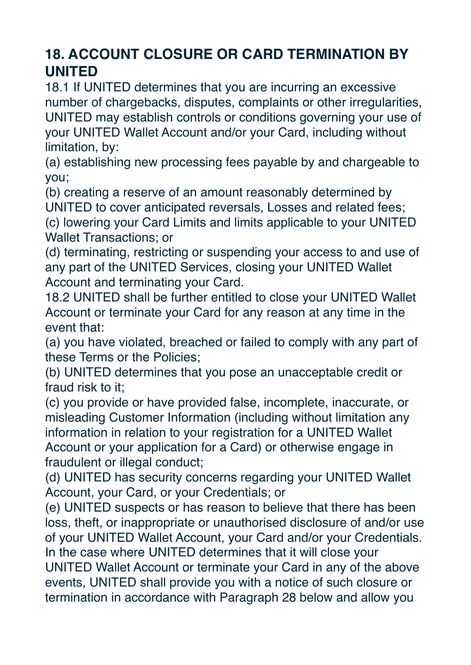# **18. ACCOUNT CLOSURE OR CARD TERMINATION BY UNITED**

18.1 If UNITED determines that you are incurring an excessive number of chargebacks, disputes, complaints or other irregularities, UNITED may establish controls or conditions governing your use of your UNITED Wallet Account and/or your Card, including without limitation, by:

(a) establishing new processing fees payable by and chargeable to you;

(b) creating a reserve of an amount reasonably determined by UNITED to cover anticipated reversals, Losses and related fees;

(c) lowering your Card Limits and limits applicable to your UNITED Wallet Transactions; or

(d) terminating, restricting or suspending your access to and use of any part of the UNITED Services, closing your UNITED Wallet Account and terminating your Card.

18.2 UNITED shall be further entitled to close your UNITED Wallet Account or terminate your Card for any reason at any time in the event that:

(a) you have violated, breached or failed to comply with any part of these Terms or the Policies;

(b) UNITED determines that you pose an unacceptable credit or fraud risk to it;

(c) you provide or have provided false, incomplete, inaccurate, or misleading Customer Information (including without limitation any information in relation to your registration for a UNITED Wallet Account or your application for a Card) or otherwise engage in fraudulent or illegal conduct;

(d) UNITED has security concerns regarding your UNITED Wallet Account, your Card, or your Credentials; or

(e) UNITED suspects or has reason to believe that there has been loss, theft, or inappropriate or unauthorised disclosure of and/or use of your UNITED Wallet Account, your Card and/or your Credentials. In the case where UNITED determines that it will close your

UNITED Wallet Account or terminate your Card in any of the above events, UNITED shall provide you with a notice of such closure or termination in accordance with Paragraph 28 below and allow you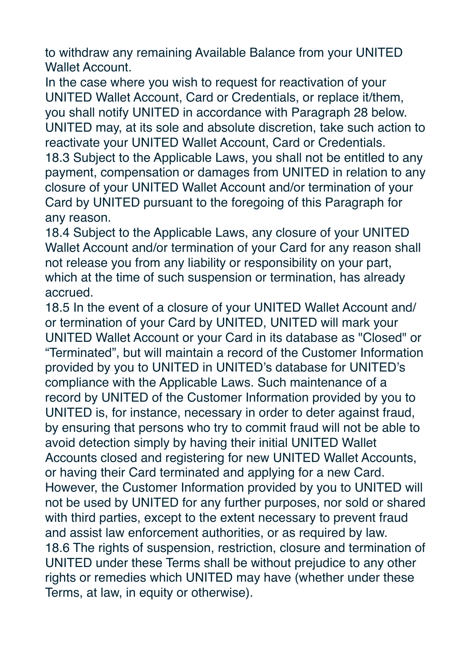to withdraw any remaining Available Balance from your UNITED Wallet Account.

In the case where you wish to request for reactivation of your UNITED Wallet Account, Card or Credentials, or replace it/them, you shall notify UNITED in accordance with Paragraph 28 below. UNITED may, at its sole and absolute discretion, take such action to reactivate your UNITED Wallet Account, Card or Credentials. 18.3 Subject to the Applicable Laws, you shall not be entitled to any payment, compensation or damages from UNITED in relation to any closure of your UNITED Wallet Account and/or termination of your Card by UNITED pursuant to the foregoing of this Paragraph for any reason.

18.4 Subject to the Applicable Laws, any closure of your UNITED Wallet Account and/or termination of your Card for any reason shall not release you from any liability or responsibility on your part, which at the time of such suspension or termination, has already accrued.

18.5 In the event of a closure of your UNITED Wallet Account and/ or termination of your Card by UNITED, UNITED will mark your UNITED Wallet Account or your Card in its database as "Closed" or "Terminated", but will maintain a record of the Customer Information provided by you to UNITED in UNITED's database for UNITED's compliance with the Applicable Laws. Such maintenance of a record by UNITED of the Customer Information provided by you to UNITED is, for instance, necessary in order to deter against fraud, by ensuring that persons who try to commit fraud will not be able to avoid detection simply by having their initial UNITED Wallet Accounts closed and registering for new UNITED Wallet Accounts, or having their Card terminated and applying for a new Card. However, the Customer Information provided by you to UNITED will not be used by UNITED for any further purposes, nor sold or shared with third parties, except to the extent necessary to prevent fraud and assist law enforcement authorities, or as required by law. 18.6 The rights of suspension, restriction, closure and termination of UNITED under these Terms shall be without prejudice to any other rights or remedies which UNITED may have (whether under these Terms, at law, in equity or otherwise).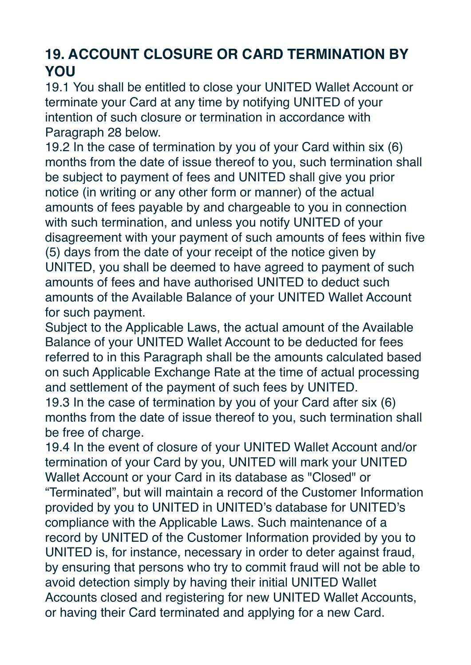# **19. ACCOUNT CLOSURE OR CARD TERMINATION BY YOU**

19.1 You shall be entitled to close your UNITED Wallet Account or terminate your Card at any time by notifying UNITED of your intention of such closure or termination in accordance with Paragraph 28 below.

19.2 In the case of termination by you of your Card within six (6) months from the date of issue thereof to you, such termination shall be subject to payment of fees and UNITED shall give you prior notice (in writing or any other form or manner) of the actual amounts of fees payable by and chargeable to you in connection with such termination, and unless you notify UNITED of your disagreement with your payment of such amounts of fees within five (5) days from the date of your receipt of the notice given by UNITED, you shall be deemed to have agreed to payment of such amounts of fees and have authorised UNITED to deduct such amounts of the Available Balance of your UNITED Wallet Account for such payment.

Subject to the Applicable Laws, the actual amount of the Available Balance of your UNITED Wallet Account to be deducted for fees referred to in this Paragraph shall be the amounts calculated based on such Applicable Exchange Rate at the time of actual processing and settlement of the payment of such fees by UNITED.

19.3 In the case of termination by you of your Card after six (6) months from the date of issue thereof to you, such termination shall be free of charge.

19.4 In the event of closure of your UNITED Wallet Account and/or termination of your Card by you, UNITED will mark your UNITED Wallet Account or your Card in its database as "Closed" or "Terminated", but will maintain a record of the Customer Information provided by you to UNITED in UNITED's database for UNITED's compliance with the Applicable Laws. Such maintenance of a record by UNITED of the Customer Information provided by you to UNITED is, for instance, necessary in order to deter against fraud, by ensuring that persons who try to commit fraud will not be able to avoid detection simply by having their initial UNITED Wallet Accounts closed and registering for new UNITED Wallet Accounts, or having their Card terminated and applying for a new Card.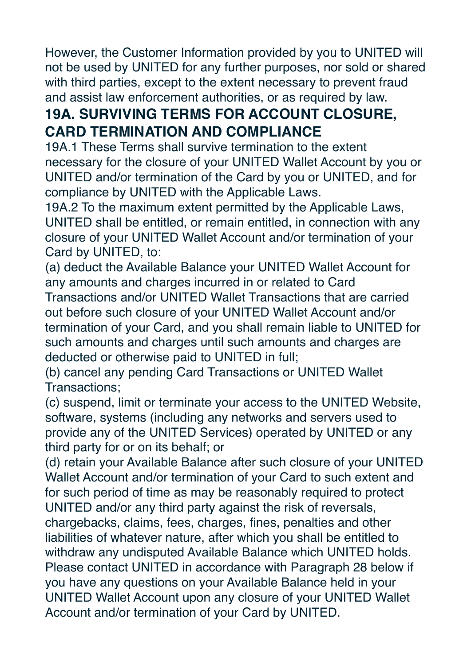However, the Customer Information provided by you to UNITED will not be used by UNITED for any further purposes, nor sold or shared with third parties, except to the extent necessary to prevent fraud and assist law enforcement authorities, or as required by law.

## **19A. SURVIVING TERMS FOR ACCOUNT CLOSURE, CARD TERMINATION AND COMPLIANCE**

19A.1 These Terms shall survive termination to the extent necessary for the closure of your UNITED Wallet Account by you or UNITED and/or termination of the Card by you or UNITED, and for compliance by UNITED with the Applicable Laws.

19A.2 To the maximum extent permitted by the Applicable Laws, UNITED shall be entitled, or remain entitled, in connection with any closure of your UNITED Wallet Account and/or termination of your Card by UNITED, to:

(a) deduct the Available Balance your UNITED Wallet Account for any amounts and charges incurred in or related to Card Transactions and/or UNITED Wallet Transactions that are carried

out before such closure of your UNITED Wallet Account and/or termination of your Card, and you shall remain liable to UNITED for such amounts and charges until such amounts and charges are deducted or otherwise paid to UNITED in full;

(b) cancel any pending Card Transactions or UNITED Wallet Transactions;

(c) suspend, limit or terminate your access to the UNITED Website, software, systems (including any networks and servers used to provide any of the UNITED Services) operated by UNITED or any third party for or on its behalf; or

(d) retain your Available Balance after such closure of your UNITED Wallet Account and/or termination of your Card to such extent and for such period of time as may be reasonably required to protect UNITED and/or any third party against the risk of reversals, chargebacks, claims, fees, charges, fines, penalties and other liabilities of whatever nature, after which you shall be entitled to withdraw any undisputed Available Balance which UNITED holds. Please contact UNITED in accordance with Paragraph 28 below if you have any questions on your Available Balance held in your UNITED Wallet Account upon any closure of your UNITED Wallet Account and/or termination of your Card by UNITED.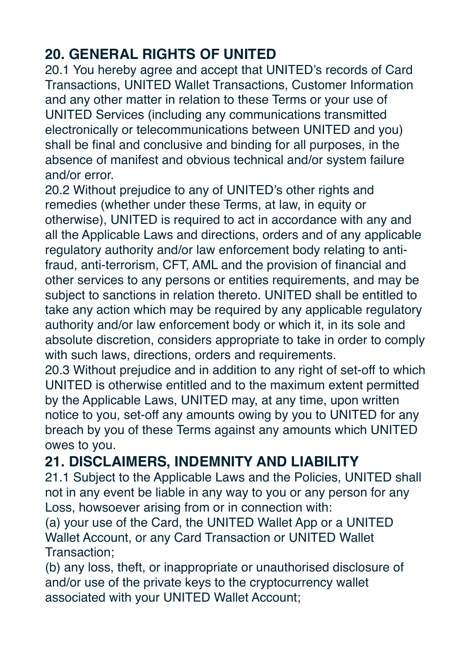# **20. GENERAL RIGHTS OF UNITED**

20.1 You hereby agree and accept that UNITED's records of Card Transactions, UNITED Wallet Transactions, Customer Information and any other matter in relation to these Terms or your use of UNITED Services (including any communications transmitted electronically or telecommunications between UNITED and you) shall be final and conclusive and binding for all purposes, in the absence of manifest and obvious technical and/or system failure and/or error.

20.2 Without prejudice to any of UNITED's other rights and remedies (whether under these Terms, at law, in equity or otherwise), UNITED is required to act in accordance with any and all the Applicable Laws and directions, orders and of any applicable regulatory authority and/or law enforcement body relating to antifraud, anti-terrorism, CFT, AML and the provision of financial and other services to any persons or entities requirements, and may be subject to sanctions in relation thereto. UNITED shall be entitled to take any action which may be required by any applicable regulatory authority and/or law enforcement body or which it, in its sole and absolute discretion, considers appropriate to take in order to comply with such laws, directions, orders and requirements.

20.3 Without prejudice and in addition to any right of set-off to which UNITED is otherwise entitled and to the maximum extent permitted by the Applicable Laws, UNITED may, at any time, upon written notice to you, set-off any amounts owing by you to UNITED for any breach by you of these Terms against any amounts which UNITED owes to you.

# **21. DISCLAIMERS, INDEMNITY AND LIABILITY**

21.1 Subject to the Applicable Laws and the Policies, UNITED shall not in any event be liable in any way to you or any person for any Loss, howsoever arising from or in connection with:

(a) your use of the Card, the UNITED Wallet App or a UNITED Wallet Account, or any Card Transaction or UNITED Wallet Transaction;

(b) any loss, theft, or inappropriate or unauthorised disclosure of and/or use of the private keys to the cryptocurrency wallet associated with your UNITED Wallet Account;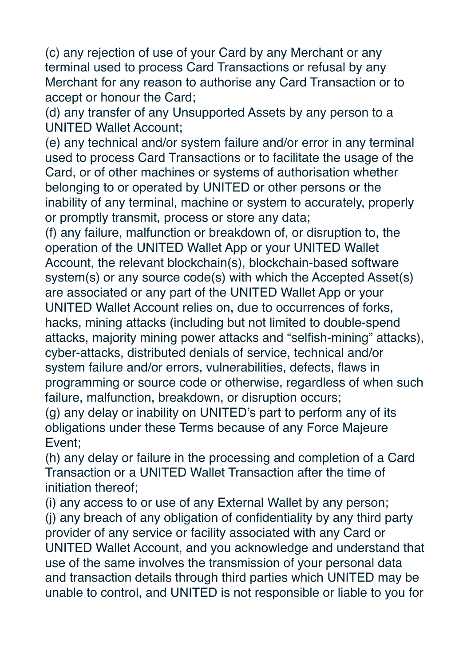(c) any rejection of use of your Card by any Merchant or any terminal used to process Card Transactions or refusal by any Merchant for any reason to authorise any Card Transaction or to accept or honour the Card;

(d) any transfer of any Unsupported Assets by any person to a UNITED Wallet Account;

(e) any technical and/or system failure and/or error in any terminal used to process Card Transactions or to facilitate the usage of the Card, or of other machines or systems of authorisation whether belonging to or operated by UNITED or other persons or the inability of any terminal, machine or system to accurately, properly or promptly transmit, process or store any data;

(f) any failure, malfunction or breakdown of, or disruption to, the operation of the UNITED Wallet App or your UNITED Wallet Account, the relevant blockchain(s), blockchain-based software system(s) or any source code(s) with which the Accepted Asset(s) are associated or any part of the UNITED Wallet App or your UNITED Wallet Account relies on, due to occurrences of forks, hacks, mining attacks (including but not limited to double-spend attacks, majority mining power attacks and "selfish-mining" attacks), cyber-attacks, distributed denials of service, technical and/or system failure and/or errors, vulnerabilities, defects, flaws in programming or source code or otherwise, regardless of when such failure, malfunction, breakdown, or disruption occurs;

(g) any delay or inability on UNITED's part to perform any of its obligations under these Terms because of any Force Majeure Event;

(h) any delay or failure in the processing and completion of a Card Transaction or a UNITED Wallet Transaction after the time of initiation thereof;

(i) any access to or use of any External Wallet by any person;

(j) any breach of any obligation of confidentiality by any third party provider of any service or facility associated with any Card or UNITED Wallet Account, and you acknowledge and understand that use of the same involves the transmission of your personal data and transaction details through third parties which UNITED may be unable to control, and UNITED is not responsible or liable to you for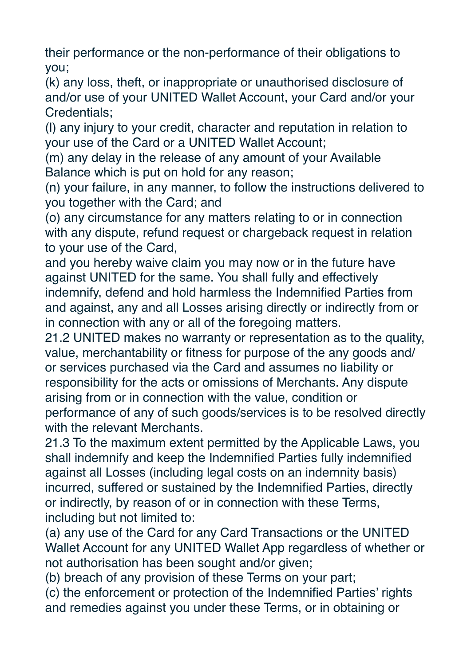their performance or the non-performance of their obligations to you;

(k) any loss, theft, or inappropriate or unauthorised disclosure of and/or use of your UNITED Wallet Account, your Card and/or your Credentials;

(l) any injury to your credit, character and reputation in relation to your use of the Card or a UNITED Wallet Account;

(m) any delay in the release of any amount of your Available Balance which is put on hold for any reason;

(n) your failure, in any manner, to follow the instructions delivered to you together with the Card; and

(o) any circumstance for any matters relating to or in connection with any dispute, refund request or chargeback request in relation to your use of the Card,

and you hereby waive claim you may now or in the future have against UNITED for the same. You shall fully and effectively indemnify, defend and hold harmless the Indemnified Parties from and against, any and all Losses arising directly or indirectly from or in connection with any or all of the foregoing matters.

21.2 UNITED makes no warranty or representation as to the quality, value, merchantability or fitness for purpose of the any goods and/ or services purchased via the Card and assumes no liability or responsibility for the acts or omissions of Merchants. Any dispute arising from or in connection with the value, condition or performance of any of such goods/services is to be resolved directly with the relevant Merchants.

21.3 To the maximum extent permitted by the Applicable Laws, you shall indemnify and keep the Indemnified Parties fully indemnified against all Losses (including legal costs on an indemnity basis) incurred, suffered or sustained by the Indemnified Parties, directly or indirectly, by reason of or in connection with these Terms, including but not limited to:

(a) any use of the Card for any Card Transactions or the UNITED Wallet Account for any UNITED Wallet App regardless of whether or not authorisation has been sought and/or given;

(b) breach of any provision of these Terms on your part;

(c) the enforcement or protection of the Indemnified Parties' rights and remedies against you under these Terms, or in obtaining or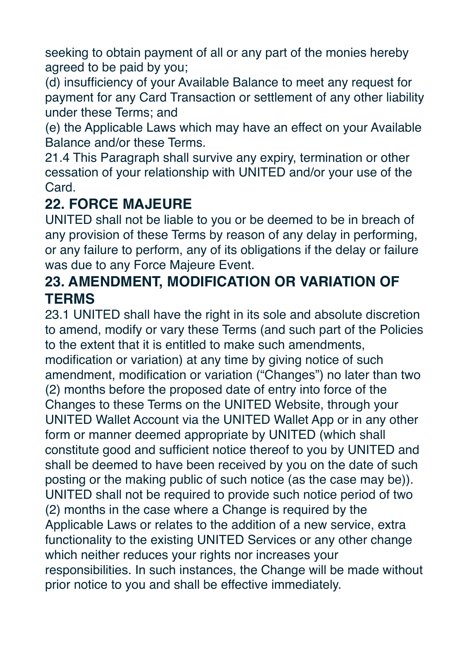seeking to obtain payment of all or any part of the monies hereby agreed to be paid by you;

(d) insufficiency of your Available Balance to meet any request for payment for any Card Transaction or settlement of any other liability under these Terms; and

(e) the Applicable Laws which may have an effect on your Available Balance and/or these Terms.

21.4 This Paragraph shall survive any expiry, termination or other cessation of your relationship with UNITED and/or your use of the Card.

# **22. FORCE MAJEURE**

UNITED shall not be liable to you or be deemed to be in breach of any provision of these Terms by reason of any delay in performing, or any failure to perform, any of its obligations if the delay or failure was due to any Force Majeure Event.

#### **23. AMENDMENT, MODIFICATION OR VARIATION OF TERMS**

23.1 UNITED shall have the right in its sole and absolute discretion to amend, modify or vary these Terms (and such part of the Policies to the extent that it is entitled to make such amendments, modification or variation) at any time by giving notice of such amendment, modification or variation ("Changes") no later than two (2) months before the proposed date of entry into force of the Changes to these Terms on the UNITED Website, through your UNITED Wallet Account via the UNITED Wallet App or in any other form or manner deemed appropriate by UNITED (which shall constitute good and sufficient notice thereof to you by UNITED and shall be deemed to have been received by you on the date of such posting or the making public of such notice (as the case may be)). UNITED shall not be required to provide such notice period of two (2) months in the case where a Change is required by the Applicable Laws or relates to the addition of a new service, extra functionality to the existing UNITED Services or any other change which neither reduces your rights nor increases your responsibilities. In such instances, the Change will be made without prior notice to you and shall be effective immediately.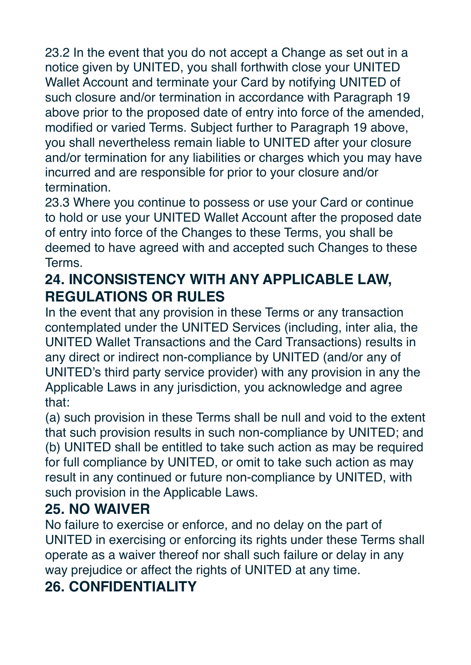23.2 In the event that you do not accept a Change as set out in a notice given by UNITED, you shall forthwith close your UNITED Wallet Account and terminate your Card by notifying UNITED of such closure and/or termination in accordance with Paragraph 19 above prior to the proposed date of entry into force of the amended, modified or varied Terms. Subject further to Paragraph 19 above, you shall nevertheless remain liable to UNITED after your closure and/or termination for any liabilities or charges which you may have incurred and are responsible for prior to your closure and/or termination.

23.3 Where you continue to possess or use your Card or continue to hold or use your UNITED Wallet Account after the proposed date of entry into force of the Changes to these Terms, you shall be deemed to have agreed with and accepted such Changes to these Terms.

# **24. INCONSISTENCY WITH ANY APPLICABLE LAW, REGULATIONS OR RULES**

In the event that any provision in these Terms or any transaction contemplated under the UNITED Services (including, inter alia, the UNITED Wallet Transactions and the Card Transactions) results in any direct or indirect non-compliance by UNITED (and/or any of UNITED's third party service provider) with any provision in any the Applicable Laws in any jurisdiction, you acknowledge and agree that:

(a) such provision in these Terms shall be null and void to the extent that such provision results in such non-compliance by UNITED; and (b) UNITED shall be entitled to take such action as may be required for full compliance by UNITED, or omit to take such action as may result in any continued or future non-compliance by UNITED, with such provision in the Applicable Laws.

#### **25. NO WAIVER**

No failure to exercise or enforce, and no delay on the part of UNITED in exercising or enforcing its rights under these Terms shall operate as a waiver thereof nor shall such failure or delay in any way prejudice or affect the rights of UNITED at any time.

# **26. CONFIDENTIALITY**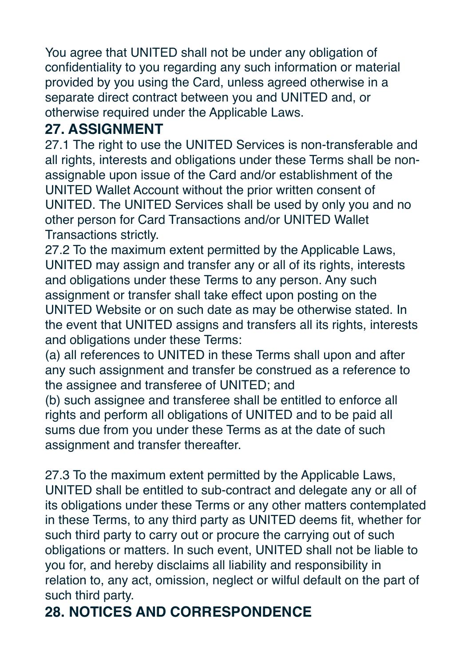You agree that UNITED shall not be under any obligation of confidentiality to you regarding any such information or material provided by you using the Card, unless agreed otherwise in a separate direct contract between you and UNITED and, or otherwise required under the Applicable Laws.

#### **27. ASSIGNMENT**

27.1 The right to use the UNITED Services is non-transferable and all rights, interests and obligations under these Terms shall be nonassignable upon issue of the Card and/or establishment of the UNITED Wallet Account without the prior written consent of UNITED. The UNITED Services shall be used by only you and no other person for Card Transactions and/or UNITED Wallet Transactions strictly.

27.2 To the maximum extent permitted by the Applicable Laws, UNITED may assign and transfer any or all of its rights, interests and obligations under these Terms to any person. Any such assignment or transfer shall take effect upon posting on the UNITED Website or on such date as may be otherwise stated. In the event that UNITED assigns and transfers all its rights, interests and obligations under these Terms:

(a) all references to UNITED in these Terms shall upon and after any such assignment and transfer be construed as a reference to the assignee and transferee of UNITED; and

(b) such assignee and transferee shall be entitled to enforce all rights and perform all obligations of UNITED and to be paid all sums due from you under these Terms as at the date of such assignment and transfer thereafter.

27.3 To the maximum extent permitted by the Applicable Laws, UNITED shall be entitled to sub-contract and delegate any or all of its obligations under these Terms or any other matters contemplated in these Terms, to any third party as UNITED deems fit, whether for such third party to carry out or procure the carrying out of such obligations or matters. In such event, UNITED shall not be liable to you for, and hereby disclaims all liability and responsibility in relation to, any act, omission, neglect or wilful default on the part of such third party.

**28. NOTICES AND CORRESPONDENCE**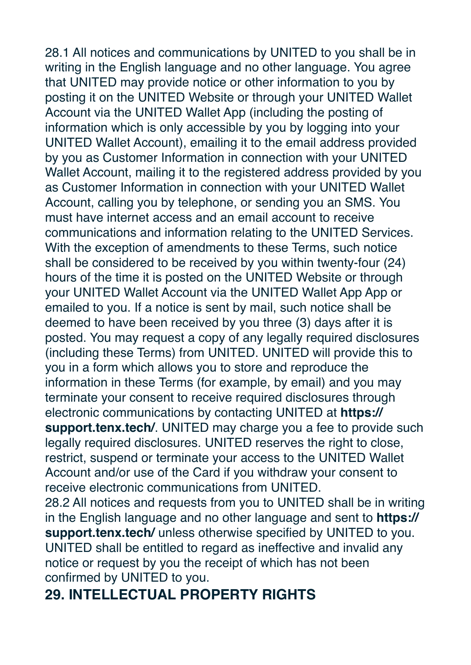28.1 All notices and communications by UNITED to you shall be in writing in the English language and no other language. You agree that UNITED may provide notice or other information to you by posting it on the UNITED Website or through your UNITED Wallet Account via the UNITED Wallet App (including the posting of information which is only accessible by you by logging into your UNITED Wallet Account), emailing it to the email address provided by you as Customer Information in connection with your UNITED Wallet Account, mailing it to the registered address provided by you as Customer Information in connection with your UNITED Wallet Account, calling you by telephone, or sending you an SMS. You must have internet access and an email account to receive communications and information relating to the UNITED Services. With the exception of amendments to these Terms, such notice shall be considered to be received by you within twenty-four (24) hours of the time it is posted on the UNITED Website or through your UNITED Wallet Account via the UNITED Wallet App App or emailed to you. If a notice is sent by mail, such notice shall be deemed to have been received by you three (3) days after it is posted. You may request a copy of any legally required disclosures (including these Terms) from UNITED. UNITED will provide this to you in a form which allows you to store and reproduce the information in these Terms (for example, by email) and you may terminate your consent to receive required disclosures through electronic communications by contacting UNITED at **[https://](https://support.tenx.tech/) [support.tenx.tech/](https://support.tenx.tech/)**. UNITED may charge you a fee to provide such legally required disclosures. UNITED reserves the right to close, restrict, suspend or terminate your access to the UNITED Wallet Account and/or use of the Card if you withdraw your consent to receive electronic communications from UNITED. 28.2 All notices and requests from you to UNITED shall be in writing in the English language and no other language and sent to **[https://](https://support.tenx.tech/) [support.tenx.tech/](https://support.tenx.tech/)** unless otherwise specified by UNITED to you. UNITED shall be entitled to regard as ineffective and invalid any notice or request by you the receipt of which has not been confirmed by UNITED to you.

#### **29. INTELLECTUAL PROPERTY RIGHTS**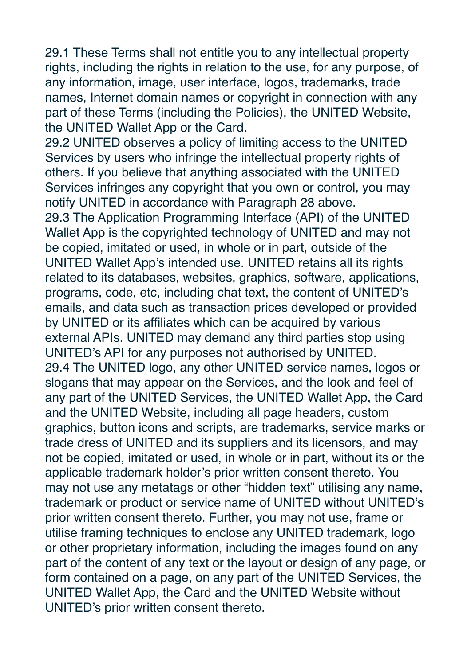29.1 These Terms shall not entitle you to any intellectual property rights, including the rights in relation to the use, for any purpose, of any information, image, user interface, logos, trademarks, trade names, Internet domain names or copyright in connection with any part of these Terms (including the Policies), the UNITED Website, the UNITED Wallet App or the Card.

29.2 UNITED observes a policy of limiting access to the UNITED Services by users who infringe the intellectual property rights of others. If you believe that anything associated with the UNITED Services infringes any copyright that you own or control, you may notify UNITED in accordance with Paragraph 28 above.

29.3 The Application Programming Interface (API) of the UNITED Wallet App is the copyrighted technology of UNITED and may not be copied, imitated or used, in whole or in part, outside of the UNITED Wallet App's intended use. UNITED retains all its rights related to its databases, websites, graphics, software, applications, programs, code, etc, including chat text, the content of UNITED's emails, and data such as transaction prices developed or provided by UNITED or its affiliates which can be acquired by various external APIs. UNITED may demand any third parties stop using UNITED's API for any purposes not authorised by UNITED. 29.4 The UNITED logo, any other UNITED service names, logos or slogans that may appear on the Services, and the look and feel of any part of the UNITED Services, the UNITED Wallet App, the Card and the UNITED Website, including all page headers, custom graphics, button icons and scripts, are trademarks, service marks or trade dress of UNITED and its suppliers and its licensors, and may not be copied, imitated or used, in whole or in part, without its or the applicable trademark holder's prior written consent thereto. You may not use any metatags or other "hidden text" utilising any name, trademark or product or service name of UNITED without UNITED's prior written consent thereto. Further, you may not use, frame or utilise framing techniques to enclose any UNITED trademark, logo or other proprietary information, including the images found on any part of the content of any text or the layout or design of any page, or form contained on a page, on any part of the UNITED Services, the UNITED Wallet App, the Card and the UNITED Website without UNITED's prior written consent thereto.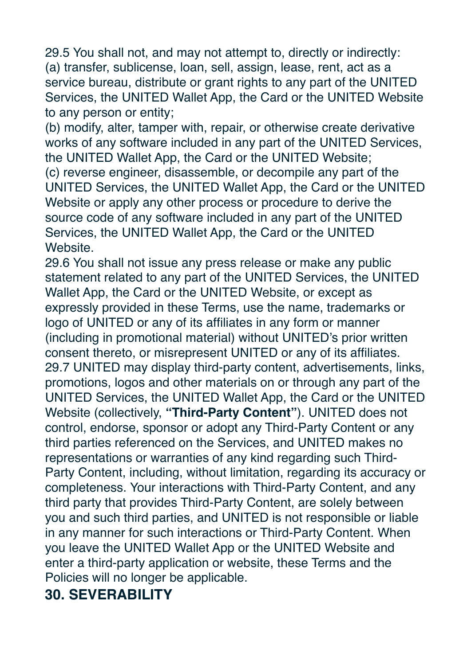29.5 You shall not, and may not attempt to, directly or indirectly: (a) transfer, sublicense, loan, sell, assign, lease, rent, act as a service bureau, distribute or grant rights to any part of the UNITED Services, the UNITED Wallet App, the Card or the UNITED Website to any person or entity;

(b) modify, alter, tamper with, repair, or otherwise create derivative works of any software included in any part of the UNITED Services, the UNITED Wallet App, the Card or the UNITED Website; (c) reverse engineer, disassemble, or decompile any part of the UNITED Services, the UNITED Wallet App, the Card or the UNITED Website or apply any other process or procedure to derive the source code of any software included in any part of the UNITED Services, the UNITED Wallet App, the Card or the UNITED **Website** 

29.6 You shall not issue any press release or make any public statement related to any part of the UNITED Services, the UNITED Wallet App, the Card or the UNITED Website, or except as expressly provided in these Terms, use the name, trademarks or logo of UNITED or any of its affiliates in any form or manner (including in promotional material) without UNITED's prior written consent thereto, or misrepresent UNITED or any of its affiliates. 29.7 UNITED may display third-party content, advertisements, links, promotions, logos and other materials on or through any part of the UNITED Services, the UNITED Wallet App, the Card or the UNITED Website (collectively, **"Third-Party Content"**). UNITED does not control, endorse, sponsor or adopt any Third-Party Content or any third parties referenced on the Services, and UNITED makes no representations or warranties of any kind regarding such Third-Party Content, including, without limitation, regarding its accuracy or completeness. Your interactions with Third-Party Content, and any third party that provides Third-Party Content, are solely between you and such third parties, and UNITED is not responsible or liable in any manner for such interactions or Third-Party Content. When you leave the UNITED Wallet App or the UNITED Website and enter a third-party application or website, these Terms and the Policies will no longer be applicable.

#### **30. SEVERABILITY**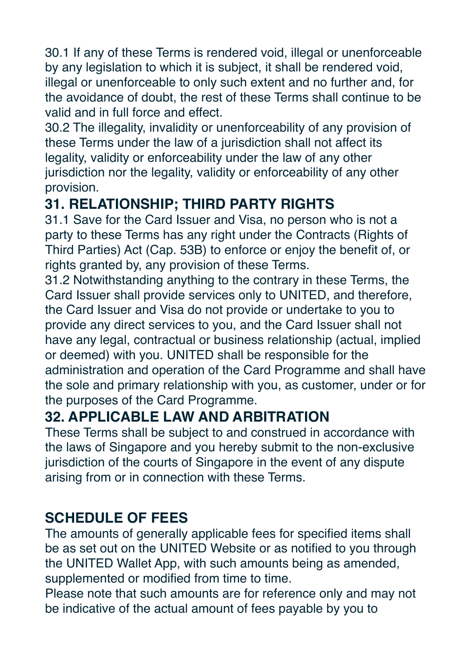30.1 If any of these Terms is rendered void, illegal or unenforceable by any legislation to which it is subject, it shall be rendered void, illegal or unenforceable to only such extent and no further and, for the avoidance of doubt, the rest of these Terms shall continue to be valid and in full force and effect.

30.2 The illegality, invalidity or unenforceability of any provision of these Terms under the law of a jurisdiction shall not affect its legality, validity or enforceability under the law of any other jurisdiction nor the legality, validity or enforceability of any other provision.

# **31. RELATIONSHIP; THIRD PARTY RIGHTS**

31.1 Save for the Card Issuer and Visa, no person who is not a party to these Terms has any right under the Contracts (Rights of Third Parties) Act (Cap. 53B) to enforce or enjoy the benefit of, or rights granted by, any provision of these Terms.

31.2 Notwithstanding anything to the contrary in these Terms, the Card Issuer shall provide services only to UNITED, and therefore, the Card Issuer and Visa do not provide or undertake to you to provide any direct services to you, and the Card Issuer shall not have any legal, contractual or business relationship (actual, implied or deemed) with you. UNITED shall be responsible for the administration and operation of the Card Programme and shall have the sole and primary relationship with you, as customer, under or for the purposes of the Card Programme.

## **32. APPLICABLE LAW AND ARBITRATION**

These Terms shall be subject to and construed in accordance with the laws of Singapore and you hereby submit to the non-exclusive jurisdiction of the courts of Singapore in the event of any dispute arising from or in connection with these Terms.

#### **SCHEDULE OF FEES**

The amounts of generally applicable fees for specified items shall be as set out on the UNITED Website or as notified to you through the UNITED Wallet App, with such amounts being as amended, supplemented or modified from time to time.

Please note that such amounts are for reference only and may not be indicative of the actual amount of fees payable by you to